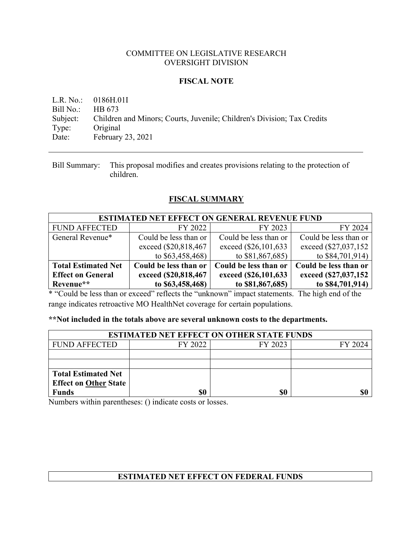## COMMITTEE ON LEGISLATIVE RESEARCH OVERSIGHT DIVISION

## **FISCAL NOTE**

L.R. No.: 0186H.01I Bill No.: HB 673 Subject: Children and Minors; Courts, Juvenile; Children's Division; Tax Credits Type: Original Date: February 23, 2021

Bill Summary: This proposal modifies and creates provisions relating to the protection of children.

# **FISCAL SUMMARY**

| <b>ESTIMATED NET EFFECT ON GENERAL REVENUE FUND</b> |                       |                       |                       |  |  |  |
|-----------------------------------------------------|-----------------------|-----------------------|-----------------------|--|--|--|
| <b>FUND AFFECTED</b>                                | FY 2022               | FY 2023               | FY 2024               |  |  |  |
| General Revenue*                                    | Could be less than or | Could be less than or | Could be less than or |  |  |  |
|                                                     | exceed (\$20,818,467) | exceed (\$26,101,633) | exceed (\$27,037,152) |  |  |  |
|                                                     | to $$63,458,468$      | to \$81,867,685)      | to $$84,701,914$      |  |  |  |
| <b>Total Estimated Net</b>                          | Could be less than or | Could be less than or | Could be less than or |  |  |  |
| <b>Effect on General</b>                            | exceed (\$20,818,467) | exceed (\$26,101,633) | exceed (\$27,037,152) |  |  |  |
| Revenue**                                           | to \$63,458,468)      | to \$81,867,685)      | to \$84,701,914)      |  |  |  |

\* "Could be less than or exceed" reflects the "unknown" impact statements. The high end of the range indicates retroactive MO HealthNet coverage for certain populations.

## **\*\*Not included in the totals above are several unknown costs to the departments.**

| <b>ESTIMATED NET EFFECT ON OTHER STATE FUNDS</b> |         |         |         |  |  |
|--------------------------------------------------|---------|---------|---------|--|--|
| <b>FUND AFFECTED</b>                             | FY 2022 | FY 2023 | FY 2024 |  |  |
|                                                  |         |         |         |  |  |
|                                                  |         |         |         |  |  |
| <b>Total Estimated Net</b>                       |         |         |         |  |  |
| <b>Effect on Other State</b>                     |         |         |         |  |  |
| <b>Funds</b>                                     | \$0     | \$0     |         |  |  |

Numbers within parentheses: () indicate costs or losses.

# **ESTIMATED NET EFFECT ON FEDERAL FUNDS**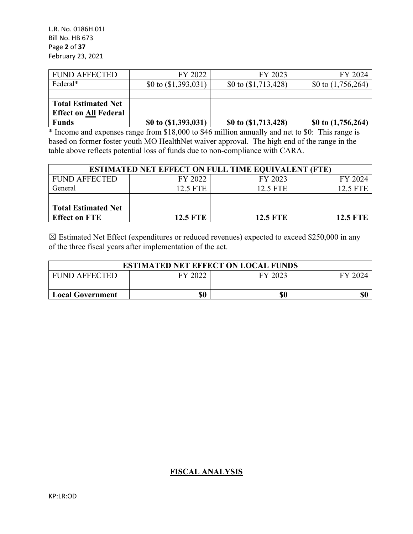L.R. No. 0186H.01I Bill No. HB 673 Page **2** of **37** February 23, 2021

| <b>FUND AFFECTED</b>         | FY 2022                | FY 2023                | FY 2024              |
|------------------------------|------------------------|------------------------|----------------------|
| Federal*                     | \$0 to $(\$1,393,031)$ | \$0 to $(\$1,713,428)$ | \$0 to $(1,756,264)$ |
|                              |                        |                        |                      |
| <b>Total Estimated Net</b>   |                        |                        |                      |
| <b>Effect on All Federal</b> |                        |                        |                      |
| <b>Funds</b>                 | \$0 to $(1,393,031)$   | \$0 to (\$1,713,428)   | \$0 to $(1,756,264)$ |

\* Income and expenses range from \$18,000 to \$46 million annually and net to \$0: This range is based on former foster youth MO HealthNet waiver approval. The high end of the range in the table above reflects potential loss of funds due to non-compliance with CARA.

| <b>ESTIMATED NET EFFECT ON FULL TIME EQUIVALENT (FTE)</b> |                 |                 |                 |  |  |
|-----------------------------------------------------------|-----------------|-----------------|-----------------|--|--|
| <b>FUND AFFECTED</b>                                      | FY 2022         | FY 2023         | FY 2024         |  |  |
| General                                                   | 12.5 FTE        | 12.5 FTE        | 12.5 FTE        |  |  |
|                                                           |                 |                 |                 |  |  |
| <b>Total Estimated Net</b>                                |                 |                 |                 |  |  |
| <b>Effect on FTE</b>                                      | <b>12.5 FTE</b> | <b>12.5 FTE</b> | <b>12.5 FTE</b> |  |  |

 $\boxtimes$  Estimated Net Effect (expenditures or reduced revenues) expected to exceed \$250,000 in any of the three fiscal years after implementation of the act.

| <b>ESTIMATED NET EFFECT ON LOCAL FUNDS</b>            |     |     |     |  |  |  |
|-------------------------------------------------------|-----|-----|-----|--|--|--|
| FY 2022<br>FY 2023<br><b>FUND AFFECTED</b><br>FY 2024 |     |     |     |  |  |  |
|                                                       |     |     |     |  |  |  |
| <b>Local Government</b>                               | \$0 | \$0 | \$0 |  |  |  |

## **FISCAL ANALYSIS**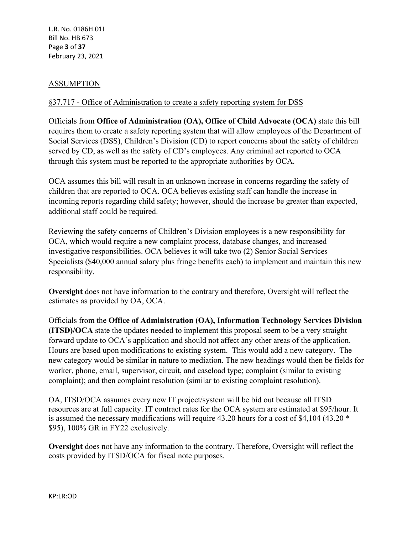## ASSUMPTION

## §37.717 - Office of Administration to create a safety reporting system for DSS

Officials from **Office of Administration (OA), Office of Child Advocate (OCA)** state this bill requires them to create a safety reporting system that will allow employees of the Department of Social Services (DSS), Children's Division (CD) to report concerns about the safety of children served by CD, as well as the safety of CD's employees. Any criminal act reported to OCA through this system must be reported to the appropriate authorities by OCA.

OCA assumes this bill will result in an unknown increase in concerns regarding the safety of children that are reported to OCA. OCA believes existing staff can handle the increase in incoming reports regarding child safety; however, should the increase be greater than expected, additional staff could be required.

Reviewing the safety concerns of Children's Division employees is a new responsibility for OCA, which would require a new complaint process, database changes, and increased investigative responsibilities. OCA believes it will take two (2) Senior Social Services Specialists (\$40,000 annual salary plus fringe benefits each) to implement and maintain this new responsibility.

**Oversight** does not have information to the contrary and therefore, Oversight will reflect the estimates as provided by OA, OCA.

Officials from the **Office of Administration (OA), Information Technology Services Division (ITSD)/OCA** state the updates needed to implement this proposal seem to be a very straight forward update to OCA's application and should not affect any other areas of the application. Hours are based upon modifications to existing system. This would add a new category. The new category would be similar in nature to mediation. The new headings would then be fields for worker, phone, email, supervisor, circuit, and caseload type; complaint (similar to existing complaint); and then complaint resolution (similar to existing complaint resolution).

OA, ITSD/OCA assumes every new IT project/system will be bid out because all ITSD resources are at full capacity. IT contract rates for the OCA system are estimated at \$95/hour. It is assumed the necessary modifications will require 43.20 hours for a cost of \$4,104 (43.20 \* \$95), 100% GR in FY22 exclusively.

**Oversight** does not have any information to the contrary. Therefore, Oversight will reflect the costs provided by ITSD/OCA for fiscal note purposes.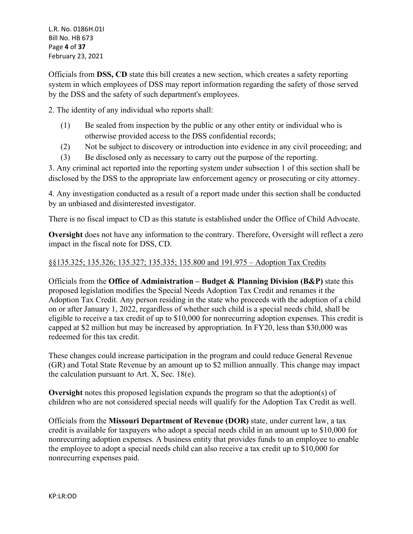L.R. No. 0186H.01I Bill No. HB 673 Page **4** of **37** February 23, 2021

Officials from **DSS, CD** state this bill creates a new section, which creates a safety reporting system in which employees of DSS may report information regarding the safety of those served by the DSS and the safety of such department's employees.

2. The identity of any individual who reports shall:

- (1) Be sealed from inspection by the public or any other entity or individual who is otherwise provided access to the DSS confidential records;
- (2) Not be subject to discovery or introduction into evidence in any civil proceeding; and
- (3) Be disclosed only as necessary to carry out the purpose of the reporting.

3. Any criminal act reported into the reporting system under subsection 1 of this section shall be disclosed by the DSS to the appropriate law enforcement agency or prosecuting or city attorney.

4. Any investigation conducted as a result of a report made under this section shall be conducted by an unbiased and disinterested investigator.

There is no fiscal impact to CD as this statute is established under the Office of Child Advocate.

**Oversight** does not have any information to the contrary. Therefore, Oversight will reflect a zero impact in the fiscal note for DSS, CD.

#### §§135.325; 135.326; 135.327; 135.335; 135.800 and 191.975 – Adoption Tax Credits

Officials from the **Office of Administration – Budget & Planning Division (B&P)** state this proposed legislation modifies the Special Needs Adoption Tax Credit and renames it the Adoption Tax Credit. Any person residing in the state who proceeds with the adoption of a child on or after January 1, 2022, regardless of whether such child is a special needs child, shall be eligible to receive a tax credit of up to \$10,000 for nonrecurring adoption expenses. This credit is capped at \$2 million but may be increased by appropriation. In FY20, less than \$30,000 was redeemed for this tax credit.

These changes could increase participation in the program and could reduce General Revenue (GR) and Total State Revenue by an amount up to \$2 million annually. This change may impact the calculation pursuant to Art. X, Sec. 18(e).

**Oversight** notes this proposed legislation expands the program so that the adoption(s) of children who are not considered special needs will qualify for the Adoption Tax Credit as well.

Officials from the **Missouri Department of Revenue (DOR)** state, under current law, a tax credit is available for taxpayers who adopt a special needs child in an amount up to \$10,000 for nonrecurring adoption expenses. A business entity that provides funds to an employee to enable the employee to adopt a special needs child can also receive a tax credit up to \$10,000 for nonrecurring expenses paid.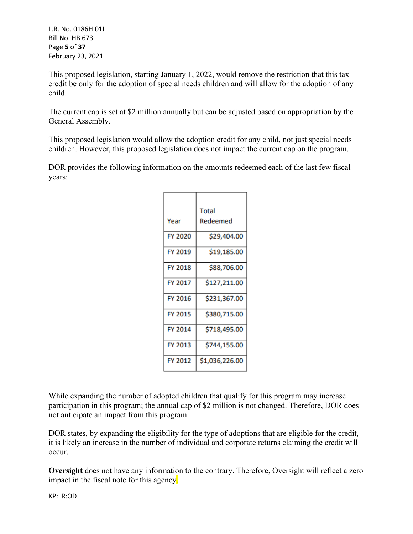L.R. No. 0186H.01I Bill No. HB 673 Page **5** of **37** February 23, 2021

This proposed legislation, starting January 1, 2022, would remove the restriction that this tax credit be only for the adoption of special needs children and will allow for the adoption of any child.

The current cap is set at \$2 million annually but can be adjusted based on appropriation by the General Assembly.

This proposed legislation would allow the adoption credit for any child, not just special needs children. However, this proposed legislation does not impact the current cap on the program.

DOR provides the following information on the amounts redeemed each of the last few fiscal years:

|                | Total          |
|----------------|----------------|
| Year           | Redeemed       |
| <b>FY 2020</b> | \$29,404.00    |
| FY 2019        | \$19,185.00    |
| FY 2018        | \$88,706.00    |
| FY 2017        | \$127,211.00   |
| FY 2016        | \$231,367.00   |
| <b>FY 2015</b> | \$380,715.00   |
| FY 2014        | \$718,495.00   |
| FY 2013        | \$744,155.00   |
| FY 2012        | \$1,036,226.00 |

While expanding the number of adopted children that qualify for this program may increase participation in this program; the annual cap of \$2 million is not changed. Therefore, DOR does not anticipate an impact from this program.

DOR states, by expanding the eligibility for the type of adoptions that are eligible for the credit, it is likely an increase in the number of individual and corporate returns claiming the credit will occur.

**Oversight** does not have any information to the contrary. Therefore, Oversight will reflect a zero impact in the fiscal note for this agency.

KP:LR:OD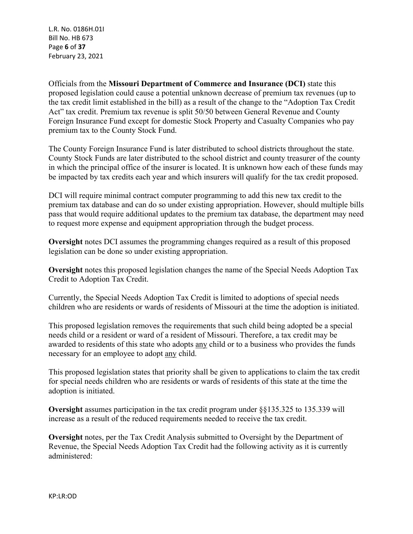L.R. No. 0186H.01I Bill No. HB 673 Page **6** of **37** February 23, 2021

Officials from the **Missouri Department of Commerce and Insurance (DCI)** state this proposed legislation could cause a potential unknown decrease of premium tax revenues (up to the tax credit limit established in the bill) as a result of the change to the "Adoption Tax Credit Act" tax credit. Premium tax revenue is split 50/50 between General Revenue and County Foreign Insurance Fund except for domestic Stock Property and Casualty Companies who pay premium tax to the County Stock Fund.

The County Foreign Insurance Fund is later distributed to school districts throughout the state. County Stock Funds are later distributed to the school district and county treasurer of the county in which the principal office of the insurer is located. It is unknown how each of these funds may be impacted by tax credits each year and which insurers will qualify for the tax credit proposed.

DCI will require minimal contract computer programming to add this new tax credit to the premium tax database and can do so under existing appropriation. However, should multiple bills pass that would require additional updates to the premium tax database, the department may need to request more expense and equipment appropriation through the budget process.

**Oversight** notes DCI assumes the programming changes required as a result of this proposed legislation can be done so under existing appropriation.

**Oversight** notes this proposed legislation changes the name of the Special Needs Adoption Tax Credit to Adoption Tax Credit.

Currently, the Special Needs Adoption Tax Credit is limited to adoptions of special needs children who are residents or wards of residents of Missouri at the time the adoption is initiated.

This proposed legislation removes the requirements that such child being adopted be a special needs child or a resident or ward of a resident of Missouri. Therefore, a tax credit may be awarded to residents of this state who adopts any child or to a business who provides the funds necessary for an employee to adopt any child.

This proposed legislation states that priority shall be given to applications to claim the tax credit for special needs children who are residents or wards of residents of this state at the time the adoption is initiated.

**Oversight** assumes participation in the tax credit program under §§135.325 to 135.339 will increase as a result of the reduced requirements needed to receive the tax credit.

**Oversight** notes, per the Tax Credit Analysis submitted to Oversight by the Department of Revenue, the Special Needs Adoption Tax Credit had the following activity as it is currently administered: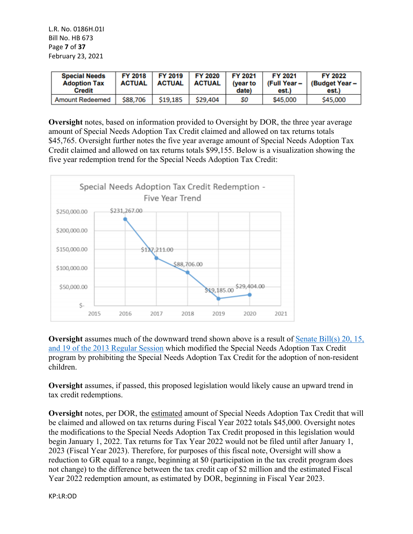L.R. No. 0186H.01I Bill No. HB 673 Page **7** of **37** February 23, 2021

| <b>Special Needs</b><br><b>Adoption Tax</b><br><b>Credit</b> | <b>FY 2018</b><br>ACTUAL | FY 2019<br>ACTUAL | FY 2020<br>ACTUAL | FY 2021<br>(vear to<br>date) | FY 2021<br>(Full Year –<br>est.) | FY 2022<br>(Budget Year -<br>est.) |
|--------------------------------------------------------------|--------------------------|-------------------|-------------------|------------------------------|----------------------------------|------------------------------------|
|                                                              |                          |                   |                   |                              |                                  |                                    |

**Oversight** notes, based on information provided to Oversight by DOR, the three year average amount of Special Needs Adoption Tax Credit claimed and allowed on tax returns totals \$45,765. Oversight further notes the five year average amount of Special Needs Adoption Tax Credit claimed and allowed on tax returns totals \$99,155. Below is a visualization showing the five year redemption trend for the Special Needs Adoption Tax Credit:



**Oversight** assumes much of the downward trend shown above is a result of Senate Bill(s) 20, 15, [and 19 of the 2013 Regular Session](https://www.senate.mo.gov/13info/BTS_Web/Bill.aspx?SessionType=R&BillID=16944741) which modified the Special Needs Adoption Tax Credit program by prohibiting the Special Needs Adoption Tax Credit for the adoption of non-resident children.

**Oversight** assumes, if passed, this proposed legislation would likely cause an upward trend in tax credit redemptions.

**Oversight** notes, per DOR, the estimated amount of Special Needs Adoption Tax Credit that will be claimed and allowed on tax returns during Fiscal Year 2022 totals \$45,000. Oversight notes the modifications to the Special Needs Adoption Tax Credit proposed in this legislation would begin January 1, 2022. Tax returns for Tax Year 2022 would not be filed until after January 1, 2023 (Fiscal Year 2023). Therefore, for purposes of this fiscal note, Oversight will show a reduction to GR equal to a range, beginning at \$0 (participation in the tax credit program does not change) to the difference between the tax credit cap of \$2 million and the estimated Fiscal Year 2022 redemption amount, as estimated by DOR, beginning in Fiscal Year 2023.

KP:LR:OD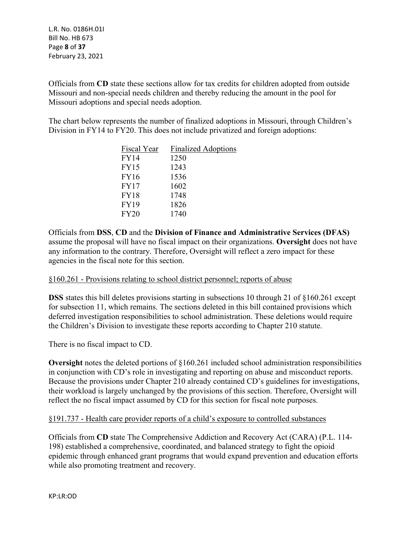L.R. No. 0186H.01I Bill No. HB 673 Page **8** of **37** February 23, 2021

Officials from **CD** state these sections allow for tax credits for children adopted from outside Missouri and non-special needs children and thereby reducing the amount in the pool for Missouri adoptions and special needs adoption.

The chart below represents the number of finalized adoptions in Missouri, through Children's Division in FY14 to FY20. This does not include privatized and foreign adoptions:

| Fiscal Year | <b>Finalized Adoptions</b> |
|-------------|----------------------------|
| FY14        | 1250                       |
| <b>FY15</b> | 1243                       |
| FY16        | 1536                       |
| <b>FY17</b> | 1602                       |
| <b>FY18</b> | 1748                       |
| <b>FY19</b> | 1826                       |
| <b>FY20</b> | 1740                       |

Officials from **DSS**, **CD** and the **Division of Finance and Administrative Services (DFAS)**  assume the proposal will have no fiscal impact on their organizations. **Oversight** does not have any information to the contrary. Therefore, Oversight will reflect a zero impact for these agencies in the fiscal note for this section.

## §160.261 - Provisions relating to school district personnel; reports of abuse

**DSS** states this bill deletes provisions starting in subsections 10 through 21 of §160.261 except for subsection 11, which remains. The sections deleted in this bill contained provisions which deferred investigation responsibilities to school administration. These deletions would require the Children's Division to investigate these reports according to Chapter 210 statute.

There is no fiscal impact to CD.

**Oversight** notes the deleted portions of §160.261 included school administration responsibilities in conjunction with CD's role in investigating and reporting on abuse and misconduct reports. Because the provisions under Chapter 210 already contained CD's guidelines for investigations, their workload is largely unchanged by the provisions of this section. Therefore, Oversight will reflect the no fiscal impact assumed by CD for this section for fiscal note purposes.

## §191.737 - Health care provider reports of a child's exposure to controlled substances

Officials from **CD** state The Comprehensive Addiction and Recovery Act (CARA) (P.L. 114- 198) established a comprehensive, coordinated, and balanced strategy to fight the opioid epidemic through enhanced grant programs that would expand prevention and education efforts while also promoting treatment and recovery.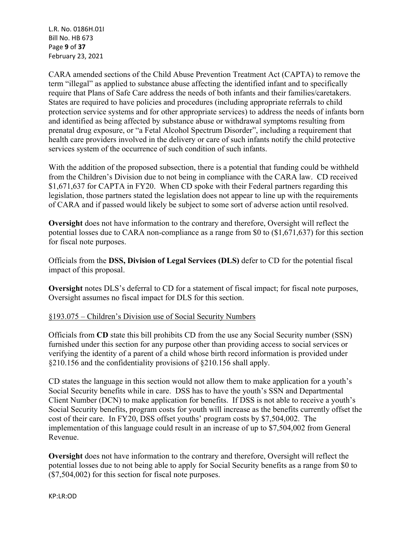L.R. No. 0186H.01I Bill No. HB 673 Page **9** of **37** February 23, 2021

CARA amended sections of the Child Abuse Prevention Treatment Act (CAPTA) to remove the term "illegal" as applied to substance abuse affecting the identified infant and to specifically require that Plans of Safe Care address the needs of both infants and their families/caretakers. States are required to have policies and procedures (including appropriate referrals to child protection service systems and for other appropriate services) to address the needs of infants born and identified as being affected by substance abuse or withdrawal symptoms resulting from prenatal drug exposure, or "a Fetal Alcohol Spectrum Disorder", including a requirement that health care providers involved in the delivery or care of such infants notify the child protective services system of the occurrence of such condition of such infants.

With the addition of the proposed subsection, there is a potential that funding could be withheld from the Children's Division due to not being in compliance with the CARA law. CD received \$1,671,637 for CAPTA in FY20. When CD spoke with their Federal partners regarding this legislation, those partners stated the legislation does not appear to line up with the requirements of CARA and if passed would likely be subject to some sort of adverse action until resolved.

**Oversight** does not have information to the contrary and therefore, Oversight will reflect the potential losses due to CARA non-compliance as a range from \$0 to (\$1,671,637) for this section for fiscal note purposes.

Officials from the **DSS, Division of Legal Services (DLS)** defer to CD for the potential fiscal impact of this proposal.

**Oversight** notes DLS's deferral to CD for a statement of fiscal impact; for fiscal note purposes, Oversight assumes no fiscal impact for DLS for this section.

# §193.075 – Children's Division use of Social Security Numbers

Officials from **CD** state this bill prohibits CD from the use any Social Security number (SSN) furnished under this section for any purpose other than providing access to social services or verifying the identity of a parent of a child whose birth record information is provided under §210.156 and the confidentiality provisions of §210.156 shall apply.

CD states the language in this section would not allow them to make application for a youth's Social Security benefits while in care. DSS has to have the youth's SSN and Departmental Client Number (DCN) to make application for benefits. If DSS is not able to receive a youth's Social Security benefits, program costs for youth will increase as the benefits currently offset the cost of their care. In FY20, DSS offset youths' program costs by \$7,504,002. The implementation of this language could result in an increase of up to \$7,504,002 from General Revenue.

**Oversight** does not have information to the contrary and therefore, Oversight will reflect the potential losses due to not being able to apply for Social Security benefits as a range from \$0 to (\$7,504,002) for this section for fiscal note purposes.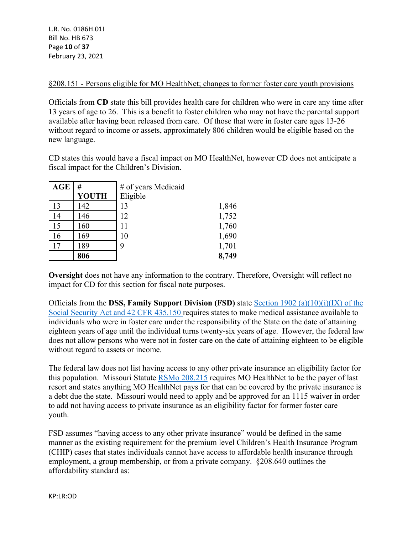§208.151 - Persons eligible for MO HealthNet; changes to former foster care youth provisions

Officials from **CD** state this bill provides health care for children who were in care any time after 13 years of age to 26. This is a benefit to foster children who may not have the parental support available after having been released from care. Of those that were in foster care ages 13-26 without regard to income or assets, approximately 806 children would be eligible based on the new language.

CD states this would have a fiscal impact on MO HealthNet, however CD does not anticipate a fiscal impact for the Children's Division.

| <b>AGE</b> | #            | # of years Medicaid |       |
|------------|--------------|---------------------|-------|
|            | <b>YOUTH</b> | Eligible            |       |
| 13         | 142          | 13                  | 1,846 |
| 14         | 146          | 12                  | 1,752 |
| 15         | 160          | 11                  | 1,760 |
| 16         | 169          | 10                  | 1,690 |
| 17         | 189          | 9                   | 1,701 |
|            | 806          |                     | 8,749 |

**Oversight** does not have any information to the contrary. Therefore, Oversight will reflect no impact for CD for this section for fiscal note purposes.

Officials from the **DSS, Family Support Division (FSD)** state [Section 1902 \(a\)\(10\)\(i\)\(IX\) of the](https://www.ssa.gov/OP_Home/ssact/title19/1902.htm)  [Social Security Act and 42 CFR 435.150](https://www.ssa.gov/OP_Home/ssact/title19/1902.htm) requires states to make medical assistance available to individuals who were in foster care under the responsibility of the State on the date of attaining eighteen years of age until the individual turns twenty-six years of age. However, the federal law does not allow persons who were not in foster care on the date of attaining eighteen to be eligible without regard to assets or income.

The federal law does not list having access to any other private insurance an eligibility factor for this population. Missouri Statute [RSMo 208.215](https://revisor.mo.gov/main/OneSection.aspx?section=208.215) requires MO HealthNet to be the payer of last resort and states anything MO HealthNet pays for that can be covered by the private insurance is a debt due the state. Missouri would need to apply and be approved for an 1115 waiver in order to add not having access to private insurance as an eligibility factor for former foster care youth.

FSD assumes "having access to any other private insurance" would be defined in the same manner as the existing requirement for the premium level Children's Health Insurance Program (CHIP) cases that states individuals cannot have access to affordable health insurance through employment, a group membership, or from a private company. §208.640 outlines the affordability standard as: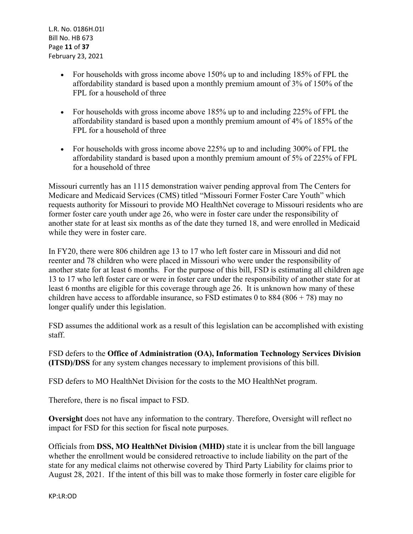- For households with gross income above 150% up to and including 185% of FPL the affordability standard is based upon a monthly premium amount of 3% of 150% of the FPL for a household of three
- For households with gross income above 185% up to and including 225% of FPL the affordability standard is based upon a monthly premium amount of 4% of 185% of the FPL for a household of three
- For households with gross income above 225% up to and including 300% of FPL the affordability standard is based upon a monthly premium amount of 5% of 225% of FPL for a household of three

Missouri currently has an 1115 demonstration waiver pending approval from The Centers for Medicare and Medicaid Services (CMS) titled "Missouri Former Foster Care Youth" which requests authority for Missouri to provide MO HealthNet coverage to Missouri residents who are former foster care youth under age 26, who were in foster care under the responsibility of another state for at least six months as of the date they turned 18, and were enrolled in Medicaid while they were in foster care.

In FY20, there were 806 children age 13 to 17 who left foster care in Missouri and did not reenter and 78 children who were placed in Missouri who were under the responsibility of another state for at least 6 months. For the purpose of this bill, FSD is estimating all children age 13 to 17 who left foster care or were in foster care under the responsibility of another state for at least 6 months are eligible for this coverage through age 26. It is unknown how many of these children have access to affordable insurance, so FSD estimates 0 to 884 (806 + 78) may no longer qualify under this legislation.

FSD assumes the additional work as a result of this legislation can be accomplished with existing staff.

FSD defers to the **Office of Administration (OA), Information Technology Services Division (ITSD)/DSS** for any system changes necessary to implement provisions of this bill.

FSD defers to MO HealthNet Division for the costs to the MO HealthNet program.

Therefore, there is no fiscal impact to FSD.

**Oversight** does not have any information to the contrary. Therefore, Oversight will reflect no impact for FSD for this section for fiscal note purposes.

Officials from **DSS, MO HealthNet Division (MHD)** state it is unclear from the bill language whether the enrollment would be considered retroactive to include liability on the part of the state for any medical claims not otherwise covered by Third Party Liability for claims prior to August 28, 2021. If the intent of this bill was to make those formerly in foster care eligible for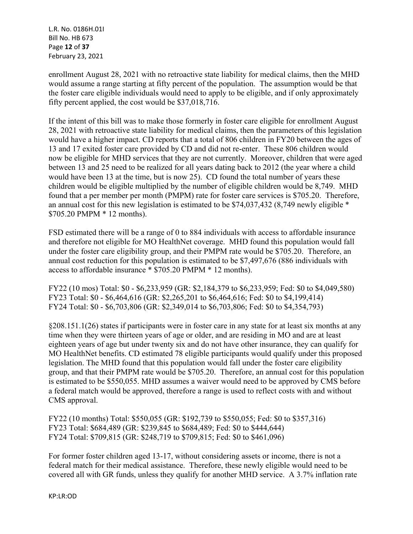L.R. No. 0186H.01I Bill No. HB 673 Page **12** of **37** February 23, 2021

enrollment August 28, 2021 with no retroactive state liability for medical claims, then the MHD would assume a range starting at fifty percent of the population. The assumption would be that the foster care eligible individuals would need to apply to be eligible, and if only approximately fifty percent applied, the cost would be \$37,018,716.

If the intent of this bill was to make those formerly in foster care eligible for enrollment August 28, 2021 with retroactive state liability for medical claims, then the parameters of this legislation would have a higher impact. CD reports that a total of 806 children in FY20 between the ages of 13 and 17 exited foster care provided by CD and did not re-enter. These 806 children would now be eligible for MHD services that they are not currently. Moreover, children that were aged between 13 and 25 need to be realized for all years dating back to 2012 (the year where a child would have been 13 at the time, but is now 25). CD found the total number of years these children would be eligible multiplied by the number of eligible children would be 8,749. MHD found that a per member per month (PMPM) rate for foster care services is \$705.20. Therefore, an annual cost for this new legislation is estimated to be \$74,037,432 (8,749 newly eligible \* \$705.20 PMPM \* 12 months).

FSD estimated there will be a range of 0 to 884 individuals with access to affordable insurance and therefore not eligible for MO HealthNet coverage. MHD found this population would fall under the foster care eligibility group, and their PMPM rate would be \$705.20. Therefore, an annual cost reduction for this population is estimated to be \$7,497,676 (886 individuals with access to affordable insurance \* \$705.20 PMPM \* 12 months).

FY22 (10 mos) Total: \$0 - \$6,233,959 (GR: \$2,184,379 to \$6,233,959; Fed: \$0 to \$4,049,580) FY23 Total: \$0 - \$6,464,616 (GR: \$2,265,201 to \$6,464,616; Fed: \$0 to \$4,199,414) FY24 Total: \$0 - \$6,703,806 (GR: \$2,349,014 to \$6,703,806; Fed: \$0 to \$4,354,793)

§208.151.1(26) states if participants were in foster care in any state for at least six months at any time when they were thirteen years of age or older, and are residing in MO and are at least eighteen years of age but under twenty six and do not have other insurance, they can qualify for MO HealthNet benefits. CD estimated 78 eligible participants would qualify under this proposed legislation. The MHD found that this population would fall under the foster care eligibility group, and that their PMPM rate would be \$705.20. Therefore, an annual cost for this population is estimated to be \$550,055. MHD assumes a waiver would need to be approved by CMS before a federal match would be approved, therefore a range is used to reflect costs with and without CMS approval.

FY22 (10 months) Total: \$550,055 (GR: \$192,739 to \$550,055; Fed: \$0 to \$357,316) FY23 Total: \$684,489 (GR: \$239,845 to \$684,489; Fed: \$0 to \$444,644) FY24 Total: \$709,815 (GR: \$248,719 to \$709,815; Fed: \$0 to \$461,096)

For former foster children aged 13-17, without considering assets or income, there is not a federal match for their medical assistance. Therefore, these newly eligible would need to be covered all with GR funds, unless they qualify for another MHD service. A 3.7% inflation rate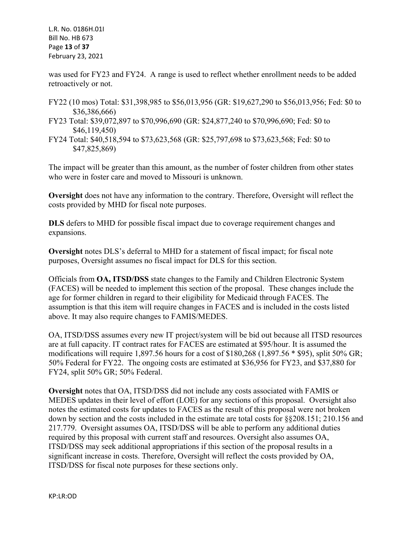L.R. No. 0186H.01I Bill No. HB 673 Page **13** of **37** February 23, 2021

was used for FY23 and FY24. A range is used to reflect whether enrollment needs to be added retroactively or not.

- FY22 (10 mos) Total: \$31,398,985 to \$56,013,956 (GR: \$19,627,290 to \$56,013,956; Fed: \$0 to \$36,386,666)
- FY23 Total: \$39,072,897 to \$70,996,690 (GR: \$24,877,240 to \$70,996,690; Fed: \$0 to \$46,119,450)
- FY24 Total: \$40,518,594 to \$73,623,568 (GR: \$25,797,698 to \$73,623,568; Fed: \$0 to \$47,825,869)

The impact will be greater than this amount, as the number of foster children from other states who were in foster care and moved to Missouri is unknown.

**Oversight** does not have any information to the contrary. Therefore, Oversight will reflect the costs provided by MHD for fiscal note purposes.

**DLS** defers to MHD for possible fiscal impact due to coverage requirement changes and expansions.

**Oversight** notes DLS's deferral to MHD for a statement of fiscal impact; for fiscal note purposes, Oversight assumes no fiscal impact for DLS for this section.

Officials from **OA, ITSD/DSS** state changes to the Family and Children Electronic System (FACES) will be needed to implement this section of the proposal. These changes include the age for former children in regard to their eligibility for Medicaid through FACES. The assumption is that this item will require changes in FACES and is included in the costs listed above. It may also require changes to FAMIS/MEDES.

OA, ITSD/DSS assumes every new IT project/system will be bid out because all ITSD resources are at full capacity. IT contract rates for FACES are estimated at \$95/hour. It is assumed the modifications will require 1,897.56 hours for a cost of  $$180,268$  (1,897.56  $*$  \$95), split 50% GR; 50% Federal for FY22. The ongoing costs are estimated at \$36,956 for FY23, and \$37,880 for FY24, split 50% GR; 50% Federal.

**Oversight** notes that OA, ITSD/DSS did not include any costs associated with FAMIS or MEDES updates in their level of effort (LOE) for any sections of this proposal. Oversight also notes the estimated costs for updates to FACES as the result of this proposal were not broken down by section and the costs included in the estimate are total costs for §§208.151; 210.156 and 217.779. Oversight assumes OA, ITSD/DSS will be able to perform any additional duties required by this proposal with current staff and resources. Oversight also assumes OA, ITSD/DSS may seek additional appropriations if this section of the proposal results in a significant increase in costs. Therefore, Oversight will reflect the costs provided by OA, ITSD/DSS for fiscal note purposes for these sections only.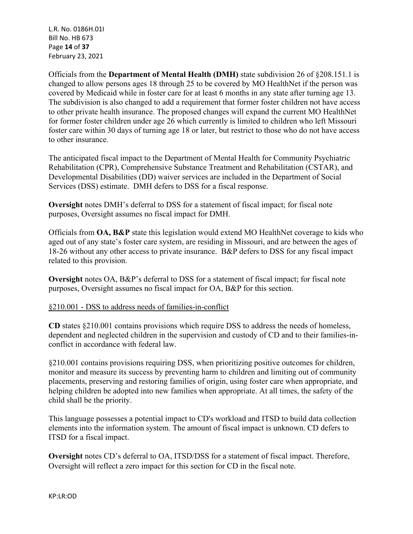L.R. No. 0186H.01I Bill No. HB 673 Page **14** of **37** February 23, 2021

Officials from the **Department of Mental Health (DMH)** state subdivision 26 of §208.151.1 is changed to allow persons ages 18 through 25 to be covered by MO HealthNet if the person was covered by Medicaid while in foster care for at least 6 months in any state after turning age 13. The subdivision is also changed to add a requirement that former foster children not have access to other private health insurance. The proposed changes will expand the current MO HealthNet for former foster children under age 26 which currently is limited to children who left Missouri foster care within 30 days of turning age 18 or later, but restrict to those who do not have access to other insurance.

The anticipated fiscal impact to the Department of Mental Health for Community Psychiatric Rehabilitation (CPR), Comprehensive Substance Treatment and Rehabilitation (CSTAR), and Developmental Disabilities (DD) waiver services are included in the Department of Social Services (DSS) estimate. DMH defers to DSS for a fiscal response.

**Oversight** notes DMH's deferral to DSS for a statement of fiscal impact; for fiscal note purposes, Oversight assumes no fiscal impact for DMH.

Officials from **OA, B&P** state this legislation would extend MO HealthNet coverage to kids who aged out of any state's foster care system, are residing in Missouri, and are between the ages of 18-26 without any other access to private insurance. B&P defers to DSS for any fiscal impact related to this provision.

**Oversight** notes OA, B&P's deferral to DSS for a statement of fiscal impact; for fiscal note purposes, Oversight assumes no fiscal impact for OA, B&P for this section.

## §210.001 - DSS to address needs of families-in-conflict

**CD** states §210.001 contains provisions which require DSS to address the needs of homeless, dependent and neglected children in the supervision and custody of CD and to their families-inconflict in accordance with federal law.

§210.001 contains provisions requiring DSS, when prioritizing positive outcomes for children, monitor and measure its success by preventing harm to children and limiting out of community placements, preserving and restoring families of origin, using foster care when appropriate, and helping children be adopted into new families when appropriate. At all times, the safety of the child shall be the priority.

This language possesses a potential impact to CD's workload and ITSD to build data collection elements into the information system. The amount of fiscal impact is unknown. CD defers to ITSD for a fiscal impact.

**Oversight** notes CD's deferral to OA, ITSD/DSS for a statement of fiscal impact. Therefore, Oversight will reflect a zero impact for this section for CD in the fiscal note.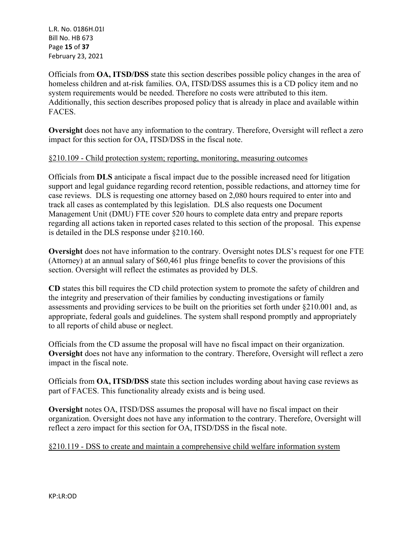L.R. No. 0186H.01I Bill No. HB 673 Page **15** of **37** February 23, 2021

Officials from **OA, ITSD/DSS** state this section describes possible policy changes in the area of homeless children and at-risk families. OA, ITSD/DSS assumes this is a CD policy item and no system requirements would be needed. Therefore no costs were attributed to this item. Additionally, this section describes proposed policy that is already in place and available within FACES.

**Oversight** does not have any information to the contrary. Therefore, Oversight will reflect a zero impact for this section for OA, ITSD/DSS in the fiscal note.

## §210.109 - Child protection system; reporting, monitoring, measuring outcomes

Officials from **DLS** anticipate a fiscal impact due to the possible increased need for litigation support and legal guidance regarding record retention, possible redactions, and attorney time for case reviews. DLS is requesting one attorney based on 2,080 hours required to enter into and track all cases as contemplated by this legislation. DLS also requests one Document Management Unit (DMU) FTE cover 520 hours to complete data entry and prepare reports regarding all actions taken in reported cases related to this section of the proposal. This expense is detailed in the DLS response under §210.160.

**Oversight** does not have information to the contrary. Oversight notes DLS's request for one FTE (Attorney) at an annual salary of \$60,461 plus fringe benefits to cover the provisions of this section. Oversight will reflect the estimates as provided by DLS.

**CD** states this bill requires the CD child protection system to promote the safety of children and the integrity and preservation of their families by conducting investigations or family assessments and providing services to be built on the priorities set forth under §210.001 and, as appropriate, federal goals and guidelines. The system shall respond promptly and appropriately to all reports of child abuse or neglect.

Officials from the CD assume the proposal will have no fiscal impact on their organization. **Oversight** does not have any information to the contrary. Therefore, Oversight will reflect a zero impact in the fiscal note.

Officials from **OA, ITSD/DSS** state this section includes wording about having case reviews as part of FACES. This functionality already exists and is being used.

**Oversight** notes OA, ITSD/DSS assumes the proposal will have no fiscal impact on their organization. Oversight does not have any information to the contrary. Therefore, Oversight will reflect a zero impact for this section for OA, ITSD/DSS in the fiscal note.

§210.119 - DSS to create and maintain a comprehensive child welfare information system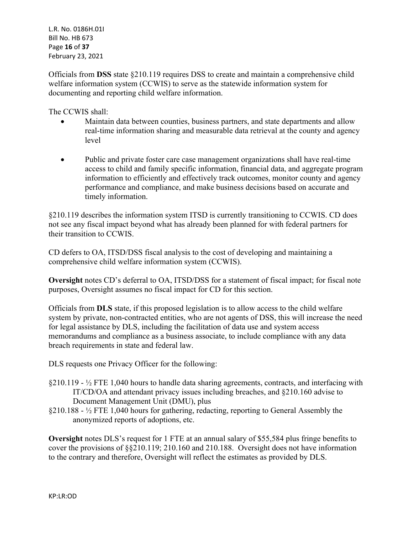L.R. No. 0186H.01I Bill No. HB 673 Page **16** of **37** February 23, 2021

Officials from **DSS** state §210.119 requires DSS to create and maintain a comprehensive child welfare information system (CCWIS) to serve as the statewide information system for documenting and reporting child welfare information.

The CCWIS shall:

- Maintain data between counties, business partners, and state departments and allow real-time information sharing and measurable data retrieval at the county and agency level
- Public and private foster care case management organizations shall have real-time access to child and family specific information, financial data, and aggregate program information to efficiently and effectively track outcomes, monitor county and agency performance and compliance, and make business decisions based on accurate and timely information.

§210.119 describes the information system ITSD is currently transitioning to CCWIS. CD does not see any fiscal impact beyond what has already been planned for with federal partners for their transition to CCWIS.

CD defers to OA, ITSD/DSS fiscal analysis to the cost of developing and maintaining a comprehensive child welfare information system (CCWIS).

**Oversight** notes CD's deferral to OA, ITSD/DSS for a statement of fiscal impact; for fiscal note purposes, Oversight assumes no fiscal impact for CD for this section.

Officials from **DLS** state, if this proposed legislation is to allow access to the child welfare system by private, non-contracted entities, who are not agents of DSS, this will increase the need for legal assistance by DLS, including the facilitation of data use and system access memorandums and compliance as a business associate, to include compliance with any data breach requirements in state and federal law.

DLS requests one Privacy Officer for the following:

- $\S210.119 \frac{1}{2}$  FTE 1,040 hours to handle data sharing agreements, contracts, and interfacing with IT/CD/OA and attendant privacy issues including breaches, and §210.160 advise to Document Management Unit (DMU), plus
- §210.188 ½ FTE 1,040 hours for gathering, redacting, reporting to General Assembly the anonymized reports of adoptions, etc.

**Oversight** notes DLS's request for 1 FTE at an annual salary of \$55,584 plus fringe benefits to cover the provisions of §§210.119; 210.160 and 210.188. Oversight does not have information to the contrary and therefore, Oversight will reflect the estimates as provided by DLS.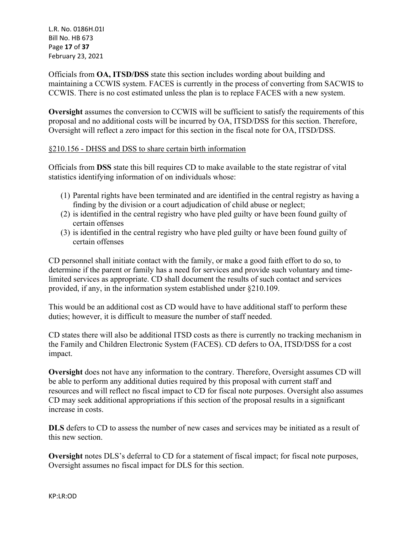L.R. No. 0186H.01I Bill No. HB 673 Page **17** of **37** February 23, 2021

Officials from **OA, ITSD/DSS** state this section includes wording about building and maintaining a CCWIS system. FACES is currently in the process of converting from SACWIS to CCWIS. There is no cost estimated unless the plan is to replace FACES with a new system.

**Oversight** assumes the conversion to CCWIS will be sufficient to satisfy the requirements of this proposal and no additional costs will be incurred by OA, ITSD/DSS for this section. Therefore, Oversight will reflect a zero impact for this section in the fiscal note for OA, ITSD/DSS.

## §210.156 - DHSS and DSS to share certain birth information

Officials from **DSS** state this bill requires CD to make available to the state registrar of vital statistics identifying information of on individuals whose:

- (1) Parental rights have been terminated and are identified in the central registry as having a finding by the division or a court adjudication of child abuse or neglect;
- (2) is identified in the central registry who have pled guilty or have been found guilty of certain offenses
- (3) is identified in the central registry who have pled guilty or have been found guilty of certain offenses

CD personnel shall initiate contact with the family, or make a good faith effort to do so, to determine if the parent or family has a need for services and provide such voluntary and timelimited services as appropriate. CD shall document the results of such contact and services provided, if any, in the information system established under §210.109.

This would be an additional cost as CD would have to have additional staff to perform these duties; however, it is difficult to measure the number of staff needed.

CD states there will also be additional ITSD costs as there is currently no tracking mechanism in the Family and Children Electronic System (FACES). CD defers to OA, ITSD/DSS for a cost impact.

**Oversight** does not have any information to the contrary. Therefore, Oversight assumes CD will be able to perform any additional duties required by this proposal with current staff and resources and will reflect no fiscal impact to CD for fiscal note purposes. Oversight also assumes CD may seek additional appropriations if this section of the proposal results in a significant increase in costs.

**DLS** defers to CD to assess the number of new cases and services may be initiated as a result of this new section.

**Oversight** notes DLS's deferral to CD for a statement of fiscal impact; for fiscal note purposes, Oversight assumes no fiscal impact for DLS for this section.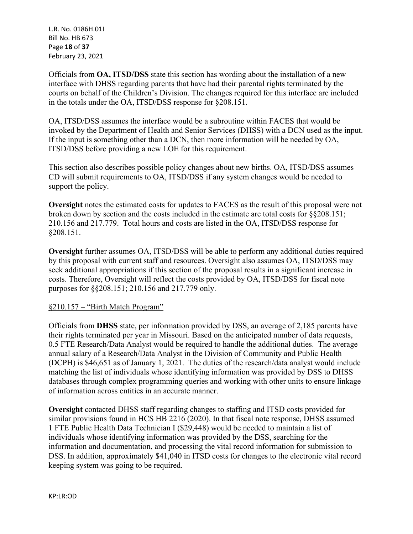L.R. No. 0186H.01I Bill No. HB 673 Page **18** of **37** February 23, 2021

Officials from **OA, ITSD/DSS** state this section has wording about the installation of a new interface with DHSS regarding parents that have had their parental rights terminated by the courts on behalf of the Children's Division. The changes required for this interface are included in the totals under the OA, ITSD/DSS response for §208.151.

OA, ITSD/DSS assumes the interface would be a subroutine within FACES that would be invoked by the Department of Health and Senior Services (DHSS) with a DCN used as the input. If the input is something other than a DCN, then more information will be needed by OA, ITSD/DSS before providing a new LOE for this requirement.

This section also describes possible policy changes about new births. OA, ITSD/DSS assumes CD will submit requirements to OA, ITSD/DSS if any system changes would be needed to support the policy.

**Oversight** notes the estimated costs for updates to FACES as the result of this proposal were not broken down by section and the costs included in the estimate are total costs for §§208.151; 210.156 and 217.779. Total hours and costs are listed in the OA, ITSD/DSS response for §208.151.

**Oversight** further assumes OA, ITSD/DSS will be able to perform any additional duties required by this proposal with current staff and resources. Oversight also assumes OA, ITSD/DSS may seek additional appropriations if this section of the proposal results in a significant increase in costs. Therefore, Oversight will reflect the costs provided by OA, ITSD/DSS for fiscal note purposes for §§208.151; 210.156 and 217.779 only.

## §210.157 – "Birth Match Program"

Officials from **DHSS** state, per information provided by DSS, an average of 2,185 parents have their rights terminated per year in Missouri. Based on the anticipated number of data requests, 0.5 FTE Research/Data Analyst would be required to handle the additional duties. The average annual salary of a Research/Data Analyst in the Division of Community and Public Health (DCPH) is \$46,651 as of January 1, 2021. The duties of the research/data analyst would include matching the list of individuals whose identifying information was provided by DSS to DHSS databases through complex programming queries and working with other units to ensure linkage of information across entities in an accurate manner.

**Oversight** contacted DHSS staff regarding changes to staffing and ITSD costs provided for similar provisions found in HCS HB 2216 (2020). In that fiscal note response, DHSS assumed 1 FTE Public Health Data Technician I (\$29,448) would be needed to maintain a list of individuals whose identifying information was provided by the DSS, searching for the information and documentation, and processing the vital record information for submission to DSS. In addition, approximately \$41,040 in ITSD costs for changes to the electronic vital record keeping system was going to be required.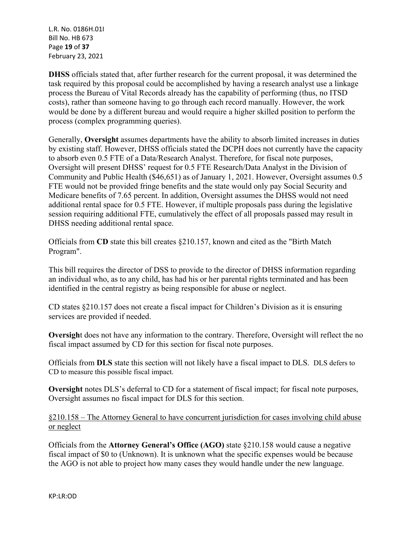L.R. No. 0186H.01I Bill No. HB 673 Page **19** of **37** February 23, 2021

**DHSS** officials stated that, after further research for the current proposal, it was determined the task required by this proposal could be accomplished by having a research analyst use a linkage process the Bureau of Vital Records already has the capability of performing (thus, no ITSD costs), rather than someone having to go through each record manually. However, the work would be done by a different bureau and would require a higher skilled position to perform the process (complex programming queries).

Generally, **Oversight** assumes departments have the ability to absorb limited increases in duties by existing staff. However, DHSS officials stated the DCPH does not currently have the capacity to absorb even 0.5 FTE of a Data/Research Analyst. Therefore, for fiscal note purposes, Oversight will present DHSS' request for 0.5 FTE Research/Data Analyst in the Division of Community and Public Health (\$46,651) as of January 1, 2021. However, Oversight assumes 0.5 FTE would not be provided fringe benefits and the state would only pay Social Security and Medicare benefits of 7.65 percent. In addition, Oversight assumes the DHSS would not need additional rental space for 0.5 FTE. However, if multiple proposals pass during the legislative session requiring additional FTE, cumulatively the effect of all proposals passed may result in DHSS needing additional rental space.

Officials from **CD** state this bill creates §210.157, known and cited as the "Birth Match Program".

This bill requires the director of DSS to provide to the director of DHSS information regarding an individual who, as to any child, has had his or her parental rights terminated and has been identified in the central registry as being responsible for abuse or neglect.

CD states §210.157 does not create a fiscal impact for Children's Division as it is ensuring services are provided if needed.

**Oversigh**t does not have any information to the contrary. Therefore, Oversight will reflect the no fiscal impact assumed by CD for this section for fiscal note purposes.

Officials from **DLS** state this section will not likely have a fiscal impact to DLS. DLS defers to CD to measure this possible fiscal impact.

**Oversight** notes DLS's deferral to CD for a statement of fiscal impact; for fiscal note purposes, Oversight assumes no fiscal impact for DLS for this section.

# §210.158 – The Attorney General to have concurrent jurisdiction for cases involving child abuse or neglect

Officials from the **Attorney General's Office (AGO)** state §210.158 would cause a negative fiscal impact of \$0 to (Unknown). It is unknown what the specific expenses would be because the AGO is not able to project how many cases they would handle under the new language.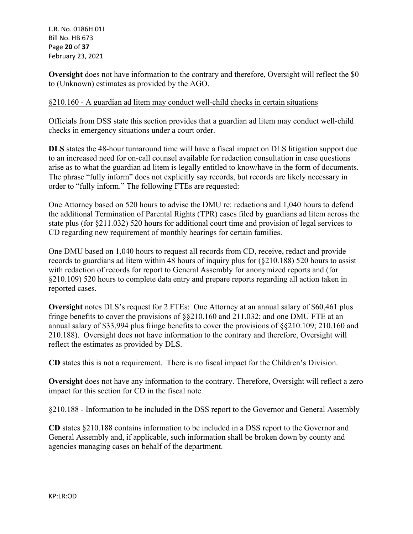L.R. No. 0186H.01I Bill No. HB 673 Page **20** of **37** February 23, 2021

**Oversight** does not have information to the contrary and therefore, Oversight will reflect the \$0 to (Unknown) estimates as provided by the AGO.

## §210.160 - A guardian ad litem may conduct well-child checks in certain situations

Officials from DSS state this section provides that a guardian ad litem may conduct well-child checks in emergency situations under a court order.

**DLS** states the 48-hour turnaround time will have a fiscal impact on DLS litigation support due to an increased need for on-call counsel available for redaction consultation in case questions arise as to what the guardian ad litem is legally entitled to know/have in the form of documents. The phrase "fully inform" does not explicitly say records, but records are likely necessary in order to "fully inform." The following FTEs are requested:

One Attorney based on 520 hours to advise the DMU re: redactions and 1,040 hours to defend the additional Termination of Parental Rights (TPR) cases filed by guardians ad litem across the state plus (for §211.032) 520 hours for additional court time and provision of legal services to CD regarding new requirement of monthly hearings for certain families.

One DMU based on 1,040 hours to request all records from CD, receive, redact and provide records to guardians ad litem within 48 hours of inquiry plus for (§210.188) 520 hours to assist with redaction of records for report to General Assembly for anonymized reports and (for §210.109) 520 hours to complete data entry and prepare reports regarding all action taken in reported cases.

**Oversight** notes DLS's request for 2 FTEs: One Attorney at an annual salary of \$60,461 plus fringe benefits to cover the provisions of §§210.160 and 211.032; and one DMU FTE at an annual salary of \$33,994 plus fringe benefits to cover the provisions of §§210.109; 210.160 and 210.188). Oversight does not have information to the contrary and therefore, Oversight will reflect the estimates as provided by DLS.

**CD** states this is not a requirement. There is no fiscal impact for the Children's Division.

**Oversight** does not have any information to the contrary. Therefore, Oversight will reflect a zero impact for this section for CD in the fiscal note.

#### §210.188 - Information to be included in the DSS report to the Governor and General Assembly

**CD** states §210.188 contains information to be included in a DSS report to the Governor and General Assembly and, if applicable, such information shall be broken down by county and agencies managing cases on behalf of the department.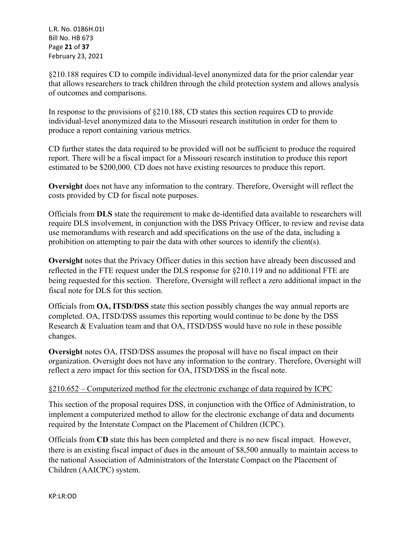L.R. No. 0186H.01I Bill No. HB 673 Page **21** of **37** February 23, 2021

§210.188 requires CD to compile individual-level anonymized data for the prior calendar year that allows researchers to track children through the child protection system and allows analysis of outcomes and comparisons.

In response to the provisions of §210.188, CD states this section requires CD to provide individual-level anonymized data to the Missouri research institution in order for them to produce a report containing various metrics.

CD further states the data required to be provided will not be sufficient to produce the required report. There will be a fiscal impact for a Missouri research institution to produce this report estimated to be \$200,000. CD does not have existing resources to produce this report.

**Oversight** does not have any information to the contrary. Therefore, Oversight will reflect the costs provided by CD for fiscal note purposes.

Officials from **DLS** state the requirement to make de-identified data available to researchers will require DLS involvement, in conjunction with the DSS Privacy Officer, to review and revise data use memorandums with research and add specifications on the use of the data, including a prohibition on attempting to pair the data with other sources to identify the client(s).

**Oversight** notes that the Privacy Officer duties in this section have already been discussed and reflected in the FTE request under the DLS response for §210.119 and no additional FTE are being requested for this section. Therefore, Oversight will reflect a zero additional impact in the fiscal note for DLS for this section.

Officials from **OA, ITSD/DSS** state this section possibly changes the way annual reports are completed. OA, ITSD/DSS assumes this reporting would continue to be done by the DSS Research & Evaluation team and that OA, ITSD/DSS would have no role in these possible changes.

**Oversight** notes OA, ITSD/DSS assumes the proposal will have no fiscal impact on their organization. Oversight does not have any information to the contrary. Therefore, Oversight will reflect a zero impact for this section for OA, ITSD/DSS in the fiscal note.

# §210.652 – Computerized method for the electronic exchange of data required by ICPC

This section of the proposal requires DSS, in conjunction with the Office of Administration, to implement a computerized method to allow for the electronic exchange of data and documents required by the Interstate Compact on the Placement of Children (ICPC).

Officials from **CD** state this has been completed and there is no new fiscal impact. However, there is an existing fiscal impact of dues in the amount of \$8,500 annually to maintain access to the national Association of Administrators of the Interstate Compact on the Placement of Children (AAICPC) system.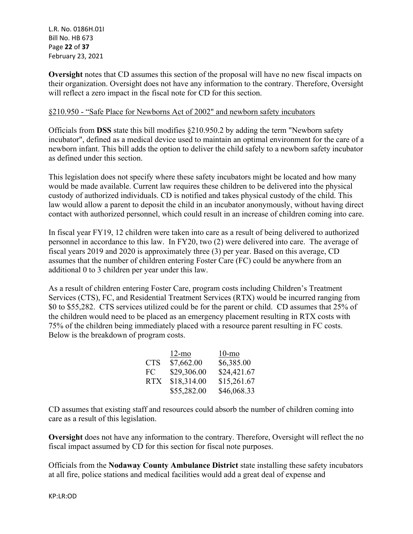L.R. No. 0186H.01I Bill No. HB 673 Page **22** of **37** February 23, 2021

**Oversight** notes that CD assumes this section of the proposal will have no new fiscal impacts on their organization. Oversight does not have any information to the contrary. Therefore, Oversight will reflect a zero impact in the fiscal note for CD for this section.

#### §210.950 - "Safe Place for Newborns Act of 2002" and newborn safety incubators

Officials from **DSS** state this bill modifies §210.950.2 by adding the term "Newborn safety incubator", defined as a medical device used to maintain an optimal environment for the care of a newborn infant. This bill adds the option to deliver the child safely to a newborn safety incubator as defined under this section.

This legislation does not specify where these safety incubators might be located and how many would be made available. Current law requires these children to be delivered into the physical custody of authorized individuals. CD is notified and takes physical custody of the child. This law would allow a parent to deposit the child in an incubator anonymously, without having direct contact with authorized personnel, which could result in an increase of children coming into care.

In fiscal year FY19, 12 children were taken into care as a result of being delivered to authorized personnel in accordance to this law. In FY20, two (2) were delivered into care. The average of fiscal years 2019 and 2020 is approximately three (3) per year. Based on this average, CD assumes that the number of children entering Foster Care (FC) could be anywhere from an additional 0 to 3 children per year under this law.

As a result of children entering Foster Care, program costs including Children's Treatment Services (CTS), FC, and Residential Treatment Services (RTX) would be incurred ranging from \$0 to \$55,282. CTS services utilized could be for the parent or child. CD assumes that 25% of the children would need to be placed as an emergency placement resulting in RTX costs with 75% of the children being immediately placed with a resource parent resulting in FC costs. Below is the breakdown of program costs.

|            | $12$ -mo    | $10$ -mo    |
|------------|-------------|-------------|
| <b>CTS</b> | \$7,662.00  | \$6,385.00  |
| FC.        | \$29,306.00 | \$24,421.67 |
| <b>RTX</b> | \$18,314.00 | \$15,261.67 |
|            | \$55,282.00 | \$46,068.33 |

CD assumes that existing staff and resources could absorb the number of children coming into care as a result of this legislation.

**Oversight** does not have any information to the contrary. Therefore, Oversight will reflect the no fiscal impact assumed by CD for this section for fiscal note purposes.

Officials from the **Nodaway County Ambulance District** state installing these safety incubators at all fire, police stations and medical facilities would add a great deal of expense and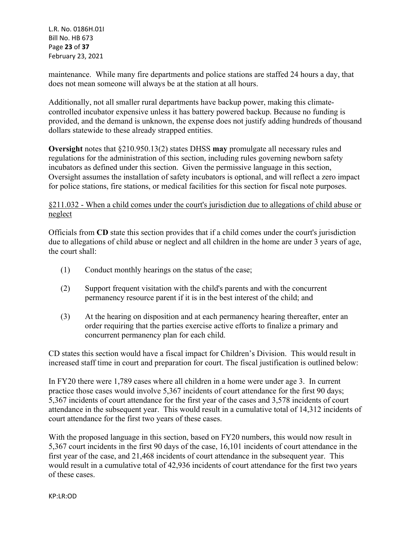L.R. No. 0186H.01I Bill No. HB 673 Page **23** of **37** February 23, 2021

maintenance. While many fire departments and police stations are staffed 24 hours a day, that does not mean someone will always be at the station at all hours.

Additionally, not all smaller rural departments have backup power, making this climatecontrolled incubator expensive unless it has battery powered backup. Because no funding is provided, and the demand is unknown, the expense does not justify adding hundreds of thousand dollars statewide to these already strapped entities.

**Oversight** notes that §210.950.13(2) states DHSS **may** promulgate all necessary rules and regulations for the administration of this section, including rules governing newborn safety incubators as defined under this section. Given the permissive language in this section, Oversight assumes the installation of safety incubators is optional, and will reflect a zero impact for police stations, fire stations, or medical facilities for this section for fiscal note purposes.

## §211.032 - When a child comes under the court's jurisdiction due to allegations of child abuse or neglect

Officials from **CD** state this section provides that if a child comes under the court's jurisdiction due to allegations of child abuse or neglect and all children in the home are under 3 years of age, the court shall:

- (1) Conduct monthly hearings on the status of the case;
- (2) Support frequent visitation with the child's parents and with the concurrent permanency resource parent if it is in the best interest of the child; and
- (3) At the hearing on disposition and at each permanency hearing thereafter, enter an order requiring that the parties exercise active efforts to finalize a primary and concurrent permanency plan for each child.

CD states this section would have a fiscal impact for Children's Division. This would result in increased staff time in court and preparation for court. The fiscal justification is outlined below:

In FY20 there were 1,789 cases where all children in a home were under age 3. In current practice those cases would involve 5,367 incidents of court attendance for the first 90 days; 5,367 incidents of court attendance for the first year of the cases and 3,578 incidents of court attendance in the subsequent year. This would result in a cumulative total of 14,312 incidents of court attendance for the first two years of these cases.

With the proposed language in this section, based on FY20 numbers, this would now result in 5,367 court incidents in the first 90 days of the case, 16,101 incidents of court attendance in the first year of the case, and 21,468 incidents of court attendance in the subsequent year. This would result in a cumulative total of 42,936 incidents of court attendance for the first two years of these cases.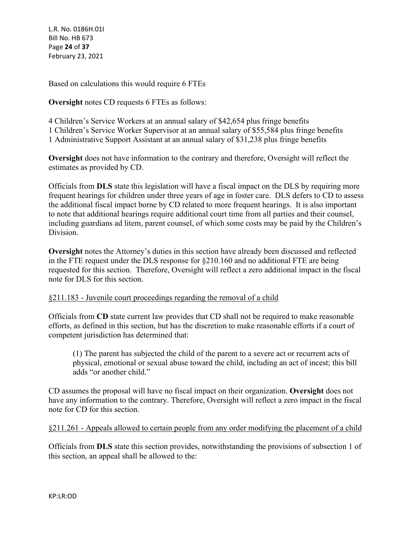L.R. No. 0186H.01I Bill No. HB 673 Page **24** of **37** February 23, 2021

Based on calculations this would require 6 FTEs

**Oversight** notes CD requests 6 FTEs as follows:

4 Children's Service Workers at an annual salary of \$42,654 plus fringe benefits

1 Children's Service Worker Supervisor at an annual salary of \$55,584 plus fringe benefits

1 Administrative Support Assistant at an annual salary of \$31,238 plus fringe benefits

**Oversight** does not have information to the contrary and therefore, Oversight will reflect the estimates as provided by CD.

Officials from **DLS** state this legislation will have a fiscal impact on the DLS by requiring more frequent hearings for children under three years of age in foster care. DLS defers to CD to assess the additional fiscal impact borne by CD related to more frequent hearings. It is also important to note that additional hearings require additional court time from all parties and their counsel, including guardians ad litem, parent counsel, of which some costs may be paid by the Children's Division.

**Oversight** notes the Attorney's duties in this section have already been discussed and reflected in the FTE request under the DLS response for §210.160 and no additional FTE are being requested for this section. Therefore, Oversight will reflect a zero additional impact in the fiscal note for DLS for this section.

## §211.183 - Juvenile court proceedings regarding the removal of a child

Officials from **CD** state current law provides that CD shall not be required to make reasonable efforts, as defined in this section, but has the discretion to make reasonable efforts if a court of competent jurisdiction has determined that:

(1) The parent has subjected the child of the parent to a severe act or recurrent acts of physical, emotional or sexual abuse toward the child, including an act of incest; this bill adds "or another child."

CD assumes the proposal will have no fiscal impact on their organization. **Oversight** does not have any information to the contrary. Therefore, Oversight will reflect a zero impact in the fiscal note for CD for this section.

§211.261 - Appeals allowed to certain people from any order modifying the placement of a child

Officials from **DLS** state this section provides, notwithstanding the provisions of subsection 1 of this section, an appeal shall be allowed to the: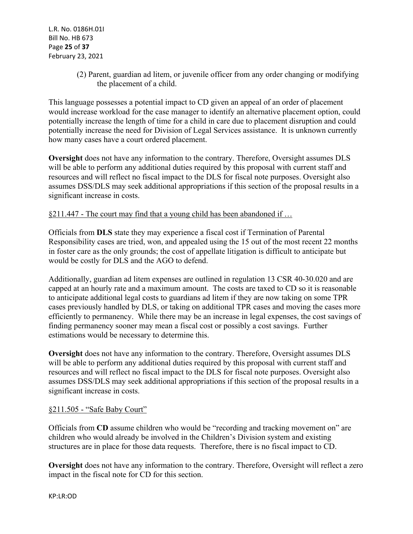(2) Parent, guardian ad litem, or juvenile officer from any order changing or modifying the placement of a child.

This language possesses a potential impact to CD given an appeal of an order of placement would increase workload for the case manager to identify an alternative placement option, could potentially increase the length of time for a child in care due to placement disruption and could potentially increase the need for Division of Legal Services assistance. It is unknown currently how many cases have a court ordered placement.

**Oversight** does not have any information to the contrary. Therefore, Oversight assumes DLS will be able to perform any additional duties required by this proposal with current staff and resources and will reflect no fiscal impact to the DLS for fiscal note purposes. Oversight also assumes DSS/DLS may seek additional appropriations if this section of the proposal results in a significant increase in costs.

## §211.447 - The court may find that a young child has been abandoned if …

Officials from **DLS** state they may experience a fiscal cost if Termination of Parental Responsibility cases are tried, won, and appealed using the 15 out of the most recent 22 months in foster care as the only grounds; the cost of appellate litigation is difficult to anticipate but would be costly for DLS and the AGO to defend.

Additionally, guardian ad litem expenses are outlined in regulation 13 CSR 40-30.020 and are capped at an hourly rate and a maximum amount. The costs are taxed to CD so it is reasonable to anticipate additional legal costs to guardians ad litem if they are now taking on some TPR cases previously handled by DLS, or taking on additional TPR cases and moving the cases more efficiently to permanency. While there may be an increase in legal expenses, the cost savings of finding permanency sooner may mean a fiscal cost or possibly a cost savings. Further estimations would be necessary to determine this.

**Oversight** does not have any information to the contrary. Therefore, Oversight assumes DLS will be able to perform any additional duties required by this proposal with current staff and resources and will reflect no fiscal impact to the DLS for fiscal note purposes. Oversight also assumes DSS/DLS may seek additional appropriations if this section of the proposal results in a significant increase in costs.

## §211.505 - "Safe Baby Court"

Officials from **CD** assume children who would be "recording and tracking movement on" are children who would already be involved in the Children's Division system and existing structures are in place for those data requests. Therefore, there is no fiscal impact to CD.

**Oversight** does not have any information to the contrary. Therefore, Oversight will reflect a zero impact in the fiscal note for CD for this section.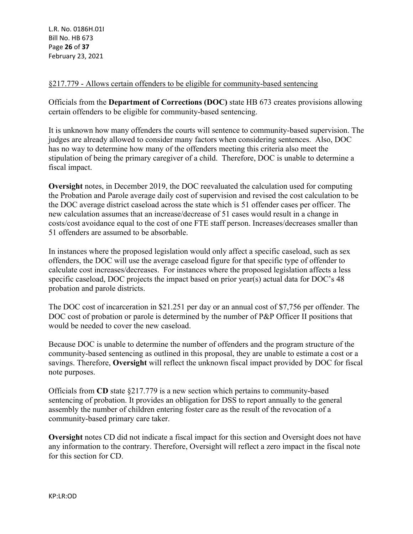## §217.779 - Allows certain offenders to be eligible for community-based sentencing

Officials from the **Department of Corrections (DOC)** state HB 673 creates provisions allowing certain offenders to be eligible for community-based sentencing.

It is unknown how many offenders the courts will sentence to community-based supervision. The judges are already allowed to consider many factors when considering sentences. Also, DOC has no way to determine how many of the offenders meeting this criteria also meet the stipulation of being the primary caregiver of a child. Therefore, DOC is unable to determine a fiscal impact.

**Oversight** notes, in December 2019, the DOC reevaluated the calculation used for computing the Probation and Parole average daily cost of supervision and revised the cost calculation to be the DOC average district caseload across the state which is 51 offender cases per officer. The new calculation assumes that an increase/decrease of 51 cases would result in a change in costs/cost avoidance equal to the cost of one FTE staff person. Increases/decreases smaller than 51 offenders are assumed to be absorbable.

In instances where the proposed legislation would only affect a specific caseload, such as sex offenders, the DOC will use the average caseload figure for that specific type of offender to calculate cost increases/decreases. For instances where the proposed legislation affects a less specific caseload, DOC projects the impact based on prior year(s) actual data for DOC's 48 probation and parole districts.

The DOC cost of incarceration in \$21.251 per day or an annual cost of \$7,756 per offender. The DOC cost of probation or parole is determined by the number of P&P Officer II positions that would be needed to cover the new caseload.

Because DOC is unable to determine the number of offenders and the program structure of the community-based sentencing as outlined in this proposal, they are unable to estimate a cost or a savings. Therefore, **Oversight** will reflect the unknown fiscal impact provided by DOC for fiscal note purposes.

Officials from **CD** state §217.779 is a new section which pertains to community-based sentencing of probation. It provides an obligation for DSS to report annually to the general assembly the number of children entering foster care as the result of the revocation of a community-based primary care taker.

**Oversight** notes CD did not indicate a fiscal impact for this section and Oversight does not have any information to the contrary. Therefore, Oversight will reflect a zero impact in the fiscal note for this section for CD.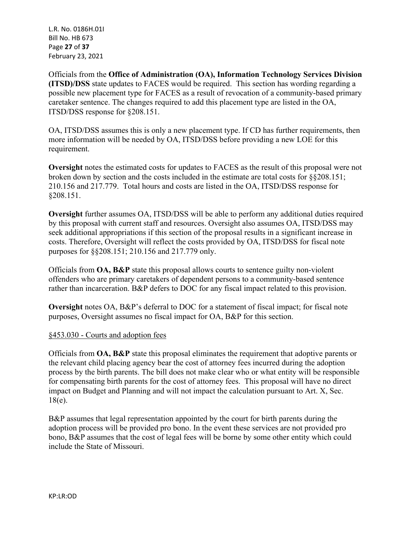L.R. No. 0186H.01I Bill No. HB 673 Page **27** of **37** February 23, 2021

Officials from the **Office of Administration (OA), Information Technology Services Division (ITSD)/DSS** state updates to FACES would be required. This section has wording regarding a possible new placement type for FACES as a result of revocation of a community-based primary caretaker sentence. The changes required to add this placement type are listed in the OA, ITSD/DSS response for §208.151.

OA, ITSD/DSS assumes this is only a new placement type. If CD has further requirements, then more information will be needed by OA, ITSD/DSS before providing a new LOE for this requirement.

**Oversight** notes the estimated costs for updates to FACES as the result of this proposal were not broken down by section and the costs included in the estimate are total costs for §§208.151; 210.156 and 217.779. Total hours and costs are listed in the OA, ITSD/DSS response for §208.151.

**Oversight** further assumes OA, ITSD/DSS will be able to perform any additional duties required by this proposal with current staff and resources. Oversight also assumes OA, ITSD/DSS may seek additional appropriations if this section of the proposal results in a significant increase in costs. Therefore, Oversight will reflect the costs provided by OA, ITSD/DSS for fiscal note purposes for §§208.151; 210.156 and 217.779 only.

Officials from **OA, B&P** state this proposal allows courts to sentence guilty non-violent offenders who are primary caretakers of dependent persons to a community-based sentence rather than incarceration. B&P defers to DOC for any fiscal impact related to this provision.

**Oversight** notes OA, B&P's deferral to DOC for a statement of fiscal impact; for fiscal note purposes, Oversight assumes no fiscal impact for OA, B&P for this section.

## §453.030 - Courts and adoption fees

Officials from **OA, B&P** state this proposal eliminates the requirement that adoptive parents or the relevant child placing agency bear the cost of attorney fees incurred during the adoption process by the birth parents. The bill does not make clear who or what entity will be responsible for compensating birth parents for the cost of attorney fees. This proposal will have no direct impact on Budget and Planning and will not impact the calculation pursuant to Art. X, Sec. 18(e).

B&P assumes that legal representation appointed by the court for birth parents during the adoption process will be provided pro bono. In the event these services are not provided pro bono, B&P assumes that the cost of legal fees will be borne by some other entity which could include the State of Missouri.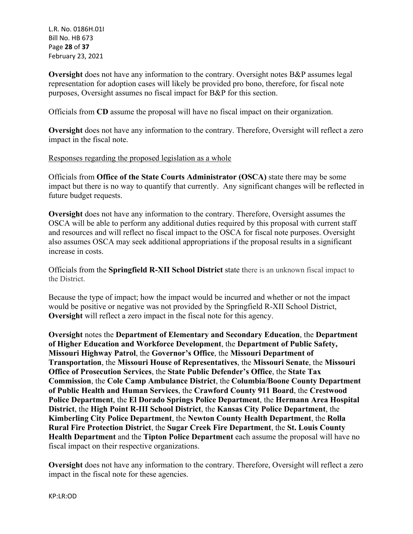L.R. No. 0186H.01I Bill No. HB 673 Page **28** of **37** February 23, 2021

**Oversight** does not have any information to the contrary. Oversight notes B&P assumes legal representation for adoption cases will likely be provided pro bono, therefore, for fiscal note purposes, Oversight assumes no fiscal impact for B&P for this section.

Officials from **CD** assume the proposal will have no fiscal impact on their organization.

**Oversight** does not have any information to the contrary. Therefore, Oversight will reflect a zero impact in the fiscal note.

## Responses regarding the proposed legislation as a whole

Officials from **Office of the State Courts Administrator (OSCA)** state there may be some impact but there is no way to quantify that currently. Any significant changes will be reflected in future budget requests.

**Oversight** does not have any information to the contrary. Therefore, Oversight assumes the OSCA will be able to perform any additional duties required by this proposal with current staff and resources and will reflect no fiscal impact to the OSCA for fiscal note purposes. Oversight also assumes OSCA may seek additional appropriations if the proposal results in a significant increase in costs.

Officials from the **Springfield R-XII School District** state there is an unknown fiscal impact to the District.

Because the type of impact; how the impact would be incurred and whether or not the impact would be positive or negative was not provided by the Springfield R-XII School District, **Oversight** will reflect a zero impact in the fiscal note for this agency.

**Oversight** notes the **Department of Elementary and Secondary Education**, the **Department of Higher Education and Workforce Development**, the **Department of Public Safety, Missouri Highway Patrol**, the **Governor's Office**, the **Missouri Department of Transportation**, the **Missouri House of Representatives**, the **Missouri Senate**, the **Missouri Office of Prosecution Services**, the **State Public Defender's Office**, the **State Tax Commission**, the **Cole Camp Ambulance District**, the **Columbia/Boone County Department of Public Health and Human Services**, the **Crawford County 911 Board**, the **Crestwood Police Department**, the **El Dorado Springs Police Department**, the **Hermann Area Hospital District**, the **High Point R-III School District**, the **Kansas City Police Department**, the **Kimberling City Police Department**, the **Newton County Health Department**, the **Rolla Rural Fire Protection District**, the **Sugar Creek Fire Department**, the **St. Louis County Health Department** and the **Tipton Police Department** each assume the proposal will have no fiscal impact on their respective organizations.

**Oversight** does not have any information to the contrary. Therefore, Oversight will reflect a zero impact in the fiscal note for these agencies.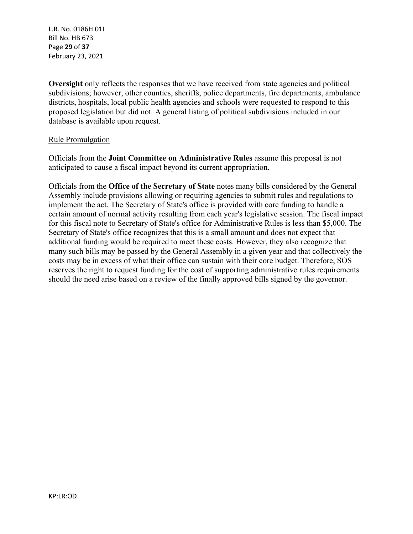L.R. No. 0186H.01I Bill No. HB 673 Page **29** of **37** February 23, 2021

**Oversight** only reflects the responses that we have received from state agencies and political subdivisions; however, other counties, sheriffs, police departments, fire departments, ambulance districts, hospitals, local public health agencies and schools were requested to respond to this proposed legislation but did not. A general listing of political subdivisions included in our database is available upon request.

#### Rule Promulgation

Officials from the **Joint Committee on Administrative Rules** assume this proposal is not anticipated to cause a fiscal impact beyond its current appropriation.

Officials from the **Office of the Secretary of State** notes many bills considered by the General Assembly include provisions allowing or requiring agencies to submit rules and regulations to implement the act. The Secretary of State's office is provided with core funding to handle a certain amount of normal activity resulting from each year's legislative session. The fiscal impact for this fiscal note to Secretary of State's office for Administrative Rules is less than \$5,000. The Secretary of State's office recognizes that this is a small amount and does not expect that additional funding would be required to meet these costs. However, they also recognize that many such bills may be passed by the General Assembly in a given year and that collectively the costs may be in excess of what their office can sustain with their core budget. Therefore, SOS reserves the right to request funding for the cost of supporting administrative rules requirements should the need arise based on a review of the finally approved bills signed by the governor.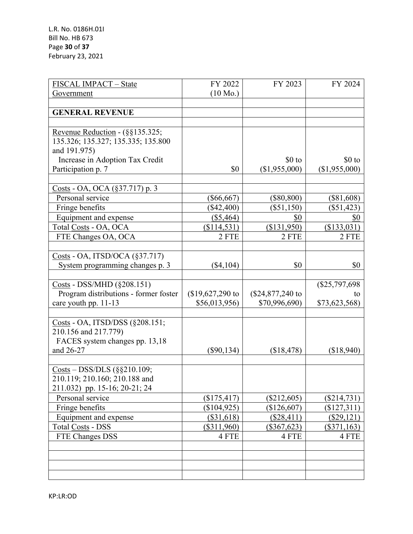| FISCAL IMPACT - State                                                                                                                           | FY 2022            | FY 2023          | FY 2024         |
|-------------------------------------------------------------------------------------------------------------------------------------------------|--------------------|------------------|-----------------|
| Government                                                                                                                                      | $(10 \text{ Mo.})$ |                  |                 |
|                                                                                                                                                 |                    |                  |                 |
| <b>GENERAL REVENUE</b>                                                                                                                          |                    |                  |                 |
|                                                                                                                                                 |                    |                  |                 |
| Revenue Reduction - $(\S\S135.325)$ ;                                                                                                           |                    |                  |                 |
| 135.326; 135.327; 135.335; 135.800                                                                                                              |                    |                  |                 |
| and 191.975)                                                                                                                                    |                    |                  |                 |
| Increase in Adoption Tax Credit                                                                                                                 |                    | $$0$ to          | $$0$ to         |
| Participation p. 7                                                                                                                              | \$0                | (\$1,955,000)    | (\$1,955,000)   |
|                                                                                                                                                 |                    |                  |                 |
| Costs - OA, OCA (§37.717) p. 3                                                                                                                  |                    |                  |                 |
| Personal service                                                                                                                                | $(\$66,667)$       | $(\$80,800)$     | $(\$81,608)$    |
| Fringe benefits                                                                                                                                 | $(\$42,400)$       | $(\$51,150)$     | $(\$51,423)$    |
| Equipment and expense                                                                                                                           | (\$5,464)          | \$0              | <u>\$0</u>      |
| Total Costs - OA, OCA                                                                                                                           | (\$114,531)        | (\$131,950)      | (\$133,031)     |
| FTE Changes OA, OCA                                                                                                                             | 2 FTE              | 2 FTE            | 2 FTE           |
|                                                                                                                                                 |                    |                  |                 |
| $Costs - OA$ , ITSD/OCA (§37.717)                                                                                                               |                    |                  |                 |
| System programming changes p. 3                                                                                                                 | $(\$4,104)$        | \$0              | \$0             |
|                                                                                                                                                 |                    |                  |                 |
| $\frac{\text{Costs}}{\text{Costs}}$ - DSS/MHD (§208.151)                                                                                        |                    |                  | $(\$25,797,698$ |
| Program distributions - former foster                                                                                                           | $$19,627,290$ to   | (\$24,877,240 to | to              |
| care youth pp. 11-13                                                                                                                            | \$56,013,956)      | \$70,996,690)    | \$73,623,568)   |
|                                                                                                                                                 |                    |                  |                 |
| Costs - OA, ITSD/DSS (§208.151;                                                                                                                 |                    |                  |                 |
| 210.156 and 217.779)                                                                                                                            |                    |                  |                 |
| FACES system changes pp. 13,18                                                                                                                  |                    |                  |                 |
| and 26-27                                                                                                                                       | $(\$90,134)$       | (\$18,478)       | (\$18,940)      |
|                                                                                                                                                 |                    |                  |                 |
| $\frac{\text{Costs}}{\text{Oosts}} - \frac{\text{DSS}}{\text{DLS}} \left( \frac{\text{SS}}{\text{S}} \frac{\text{S}}{\text{S}} \right) 10.109;$ |                    |                  |                 |
| 210.119; 210.160; 210.188 and                                                                                                                   |                    |                  |                 |
| 211.032) pp. 15-16; 20-21; 24                                                                                                                   |                    |                  |                 |
| Personal service                                                                                                                                | (\$175,417)        | $(\$212,605)$    | $(\$214,731)$   |
| Fringe benefits                                                                                                                                 | (\$104,925)        | (\$126,607)      | $(\$127,311)$   |
| Equipment and expense                                                                                                                           | $(\$31,618)$       | (\$28,411)       | (\$29,121)      |
| <b>Total Costs - DSS</b>                                                                                                                        | $(\$311,960)$      | $(\$367,623)$    | $(\$371,163)$   |
| FTE Changes DSS                                                                                                                                 | 4 FTE              | 4 FTE            | 4 FTE           |
|                                                                                                                                                 |                    |                  |                 |
|                                                                                                                                                 |                    |                  |                 |
|                                                                                                                                                 |                    |                  |                 |
|                                                                                                                                                 |                    |                  |                 |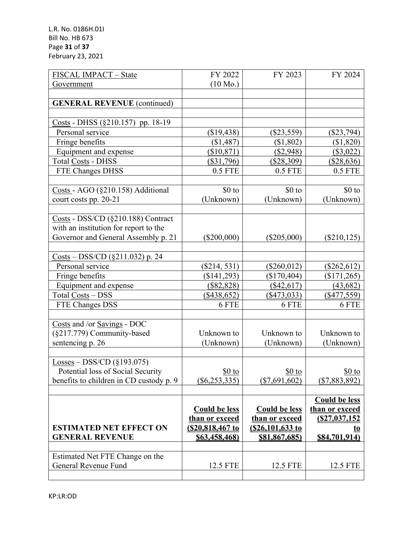| FISCAL IMPACT - State                                                                                  | FY 2022              | FY 2023              | FY 2024              |
|--------------------------------------------------------------------------------------------------------|----------------------|----------------------|----------------------|
| Government                                                                                             | $(10 \text{ Mo.})$   |                      |                      |
|                                                                                                        |                      |                      |                      |
| <b>GENERAL REVENUE</b> (continued)                                                                     |                      |                      |                      |
|                                                                                                        |                      |                      |                      |
| $Costs - DHSS (§210.157)$ pp. 18-19                                                                    |                      |                      |                      |
| Personal service                                                                                       | (\$19,438)           | $(\$23,559)$         | $(\$23,794)$         |
| Fringe benefits                                                                                        | (\$1,487)            | (\$1,802)            | (\$1,820)            |
| Equipment and expense                                                                                  | (\$10,871)           | (\$2,948)            | (\$3,022)            |
| <b>Total Costs - DHSS</b>                                                                              | $(\$31,796)$         | (\$28,309)           | (\$28,636)           |
| FTE Changes DHSS                                                                                       | $0.5$ FTE            | $0.5$ FTE            | $0.5$ FTE            |
|                                                                                                        |                      |                      |                      |
| Costs - AGO (§210.158) Additional                                                                      | $$0$ to              | $$0$ to              | $$0$ to              |
| court costs pp. 20-21                                                                                  | (Unknown)            | (Unknown)            | (Unknown)            |
|                                                                                                        |                      |                      |                      |
| $\frac{\text{Costs}}{\text{Costs}}$ - DSS/CD (§210.188) Contract                                       |                      |                      |                      |
| with an institution for report to the                                                                  |                      |                      |                      |
| Governor and General Assembly p. 21                                                                    | $(\$200,000)$        | $(\$205,000)$        | $(\$210, 125)$       |
|                                                                                                        |                      |                      |                      |
| $\frac{\text{Costs}}{\text{-}} - \frac{\text{DSS}}{\text{CD}} \left( \frac{8211.032}{9} \right)$ p. 24 |                      |                      |                      |
| Personal service                                                                                       | $(\$214, 531)$       | $(\$260,012)$        | $(\$262,612)$        |
| Fringe benefits                                                                                        | (\$141,293)          | (\$170,404)          | $(\$171,265)$        |
| Equipment and expense                                                                                  | (\$82,828)           | (\$42,617)           | (43, 682)            |
| Total Costs - DSS                                                                                      | $(\$438,652)$        | $(\$473,033)$        | $(\$477,559)$        |
| FTE Changes DSS                                                                                        | 6 FTE                | 6 FTE                | 6 FTE                |
|                                                                                                        |                      |                      |                      |
| Costs and /or Savings - DOC                                                                            |                      |                      |                      |
| (§217.779) Community-based                                                                             | Unknown to           | Unknown to           | Unknown to           |
| sentencing p. 26                                                                                       | (Unknown)            | (Unknown)            | (Unknown)            |
|                                                                                                        |                      |                      |                      |
| $\underline{Losses} - DSS/CD$ (§193.075)                                                               |                      |                      |                      |
| Potential loss of Social Security                                                                      | $$0$ to              | $$0$ to              | $$0$ to              |
| benefits to children in CD custody p. 9                                                                | $(\$6,253,335)$      | $(\$7,691,602)$      | $(\$7,883,892)$      |
|                                                                                                        |                      |                      |                      |
|                                                                                                        |                      |                      | <b>Could be less</b> |
|                                                                                                        | <b>Could be less</b> | <b>Could be less</b> | than or exceed       |
|                                                                                                        | than or exceed       | than or exceed       | (S27, 037, 152)      |
| <b>ESTIMATED NET EFFECT ON</b>                                                                         | (\$20,818,467 to     | (\$26,101,633 to     |                      |
| <b>GENERAL REVENUE</b>                                                                                 | \$63,458,468)        | \$81,867,685)        | \$84,701,914)        |
|                                                                                                        |                      |                      |                      |
| Estimated Net FTE Change on the                                                                        |                      |                      |                      |
| General Revenue Fund                                                                                   | 12.5 FTE             | 12.5 FTE             | 12.5 FTE             |
|                                                                                                        |                      |                      |                      |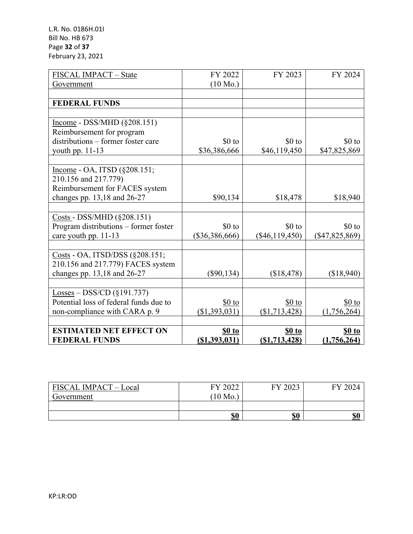| FISCAL IMPACT - State                                    | FY 2022            | FY 2023          | FY 2024          |
|----------------------------------------------------------|--------------------|------------------|------------------|
| Government                                               | $(10 \text{ Mo.})$ |                  |                  |
|                                                          |                    |                  |                  |
| <b>FEDERAL FUNDS</b>                                     |                    |                  |                  |
|                                                          |                    |                  |                  |
| $Income - DSS/MHD (§208.151)$                            |                    |                  |                  |
| Reimbursement for program                                |                    |                  |                  |
| distributions – former foster care                       | $$0$ to            | $$0$ to          | $$0$ to          |
| youth pp. 11-13                                          | \$36,386,666       | \$46,119,450     | \$47,825,869     |
|                                                          |                    |                  |                  |
| Income - OA, ITSD (§208.151;                             |                    |                  |                  |
| 210.156 and 217.779)                                     |                    |                  |                  |
| Reimbursement for FACES system                           |                    |                  |                  |
| changes pp. 13,18 and 26-27                              | \$90,134           | \$18,478         | \$18,940         |
|                                                          |                    |                  |                  |
| $\frac{\text{Costs}}{\text{Costs}}$ - DSS/MHD (§208.151) |                    |                  |                  |
| Program distributions - former foster                    | $$0$ to            | $$0$ to          | $$0$ to          |
| care youth pp. 11-13                                     | $(\$36,386,666)$   | $(\$46,119,450)$ | $(\$47,825,869)$ |
|                                                          |                    |                  |                  |
| Costs - OA, ITSD/DSS (§208.151;                          |                    |                  |                  |
| 210.156 and 217.779) FACES system                        |                    |                  |                  |
| changes pp. 13,18 and 26-27                              | $(\$90,134)$       | (\$18,478)       | (\$18,940)       |
|                                                          |                    |                  |                  |
| $\underline{\text{Losses}} - \text{DSS/CD}$ (§191.737)   |                    |                  |                  |
| Potential loss of federal funds due to                   | $$0$ to            | $$0$ to          | $$0$ to          |
| non-compliance with CARA p. 9                            | (\$1,393,031)      | (\$1,713,428)    | (1,756,264)      |
|                                                          |                    |                  |                  |
| <b>ESTIMATED NET EFFECT ON</b>                           | $10$               | \$0 to           | <b>\$0 to</b>    |
| <b>FEDERAL FUNDS</b>                                     | ( \$1,393,031)     | (S1, 713, 428)   | (1,756,264)      |

| FISCAL IMPACT - Local | FY 2022 | FY 2023 | FY 2024 |
|-----------------------|---------|---------|---------|
| Government            | 10 Mo.  |         |         |
|                       |         |         |         |
|                       | \$0     | \$0     | \$0     |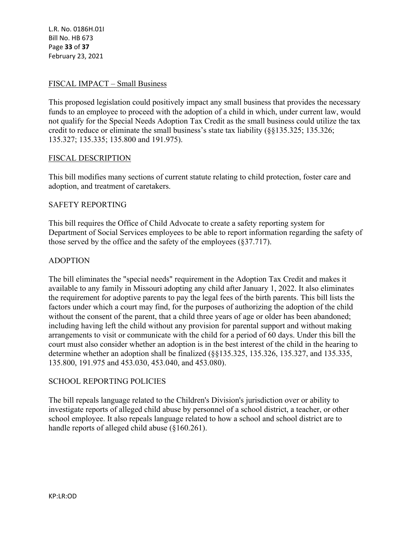L.R. No. 0186H.01I Bill No. HB 673 Page **33** of **37** February 23, 2021

## FISCAL IMPACT – Small Business

This proposed legislation could positively impact any small business that provides the necessary funds to an employee to proceed with the adoption of a child in which, under current law, would not qualify for the Special Needs Adoption Tax Credit as the small business could utilize the tax credit to reduce or eliminate the small business's state tax liability (§§135.325; 135.326; 135.327; 135.335; 135.800 and 191.975).

#### FISCAL DESCRIPTION

This bill modifies many sections of current statute relating to child protection, foster care and adoption, and treatment of caretakers.

#### SAFETY REPORTING

This bill requires the Office of Child Advocate to create a safety reporting system for Department of Social Services employees to be able to report information regarding the safety of those served by the office and the safety of the employees (§37.717).

#### ADOPTION

The bill eliminates the "special needs" requirement in the Adoption Tax Credit and makes it available to any family in Missouri adopting any child after January 1, 2022. It also eliminates the requirement for adoptive parents to pay the legal fees of the birth parents. This bill lists the factors under which a court may find, for the purposes of authorizing the adoption of the child without the consent of the parent, that a child three years of age or older has been abandoned; including having left the child without any provision for parental support and without making arrangements to visit or communicate with the child for a period of 60 days. Under this bill the court must also consider whether an adoption is in the best interest of the child in the hearing to determine whether an adoption shall be finalized (§§135.325, 135.326, 135.327, and 135.335, 135.800, 191.975 and 453.030, 453.040, and 453.080).

#### SCHOOL REPORTING POLICIES

The bill repeals language related to the Children's Division's jurisdiction over or ability to investigate reports of alleged child abuse by personnel of a school district, a teacher, or other school employee. It also repeals language related to how a school and school district are to handle reports of alleged child abuse (§160.261).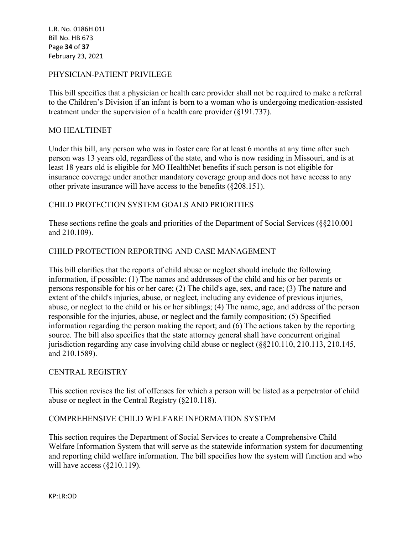L.R. No. 0186H.01I Bill No. HB 673 Page **34** of **37** February 23, 2021

## PHYSICIAN-PATIENT PRIVILEGE

This bill specifies that a physician or health care provider shall not be required to make a referral to the Children's Division if an infant is born to a woman who is undergoing medication-assisted treatment under the supervision of a health care provider (§191.737).

## MO HEALTHNET

Under this bill, any person who was in foster care for at least 6 months at any time after such person was 13 years old, regardless of the state, and who is now residing in Missouri, and is at least 18 years old is eligible for MO HealthNet benefits if such person is not eligible for insurance coverage under another mandatory coverage group and does not have access to any other private insurance will have access to the benefits (§208.151).

## CHILD PROTECTION SYSTEM GOALS AND PRIORITIES

These sections refine the goals and priorities of the Department of Social Services (§§210.001 and 210.109).

## CHILD PROTECTION REPORTING AND CASE MANAGEMENT

This bill clarifies that the reports of child abuse or neglect should include the following information, if possible: (1) The names and addresses of the child and his or her parents or persons responsible for his or her care; (2) The child's age, sex, and race; (3) The nature and extent of the child's injuries, abuse, or neglect, including any evidence of previous injuries, abuse, or neglect to the child or his or her siblings; (4) The name, age, and address of the person responsible for the injuries, abuse, or neglect and the family composition; (5) Specified information regarding the person making the report; and (6) The actions taken by the reporting source. The bill also specifies that the state attorney general shall have concurrent original jurisdiction regarding any case involving child abuse or neglect (§§210.110, 210.113, 210.145, and 210.1589).

## CENTRAL REGISTRY

This section revises the list of offenses for which a person will be listed as a perpetrator of child abuse or neglect in the Central Registry (§210.118).

## COMPREHENSIVE CHILD WELFARE INFORMATION SYSTEM

This section requires the Department of Social Services to create a Comprehensive Child Welfare Information System that will serve as the statewide information system for documenting and reporting child welfare information. The bill specifies how the system will function and who will have access (§210.119).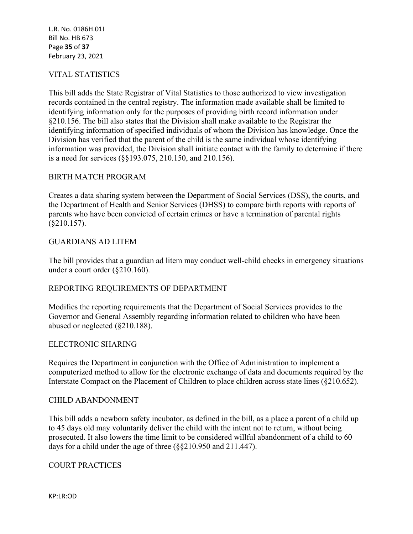L.R. No. 0186H.01I Bill No. HB 673 Page **35** of **37** February 23, 2021

## VITAL STATISTICS

This bill adds the State Registrar of Vital Statistics to those authorized to view investigation records contained in the central registry. The information made available shall be limited to identifying information only for the purposes of providing birth record information under §210.156. The bill also states that the Division shall make available to the Registrar the identifying information of specified individuals of whom the Division has knowledge. Once the Division has verified that the parent of the child is the same individual whose identifying information was provided, the Division shall initiate contact with the family to determine if there is a need for services (§§193.075, 210.150, and 210.156).

#### BIRTH MATCH PROGRAM

Creates a data sharing system between the Department of Social Services (DSS), the courts, and the Department of Health and Senior Services (DHSS) to compare birth reports with reports of parents who have been convicted of certain crimes or have a termination of parental rights (§210.157).

#### GUARDIANS AD LITEM

The bill provides that a guardian ad litem may conduct well-child checks in emergency situations under a court order (§210.160).

#### REPORTING REQUIREMENTS OF DEPARTMENT

Modifies the reporting requirements that the Department of Social Services provides to the Governor and General Assembly regarding information related to children who have been abused or neglected (§210.188).

#### ELECTRONIC SHARING

Requires the Department in conjunction with the Office of Administration to implement a computerized method to allow for the electronic exchange of data and documents required by the Interstate Compact on the Placement of Children to place children across state lines (§210.652).

#### CHILD ABANDONMENT

This bill adds a newborn safety incubator, as defined in the bill, as a place a parent of a child up to 45 days old may voluntarily deliver the child with the intent not to return, without being prosecuted. It also lowers the time limit to be considered willful abandonment of a child to 60 days for a child under the age of three (§§210.950 and 211.447).

## COURT PRACTICES

KP:LR:OD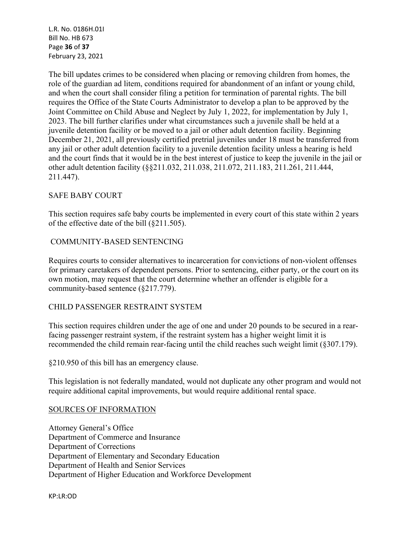L.R. No. 0186H.01I Bill No. HB 673 Page **36** of **37** February 23, 2021

The bill updates crimes to be considered when placing or removing children from homes, the role of the guardian ad litem, conditions required for abandonment of an infant or young child, and when the court shall consider filing a petition for termination of parental rights. The bill requires the Office of the State Courts Administrator to develop a plan to be approved by the Joint Committee on Child Abuse and Neglect by July 1, 2022, for implementation by July 1, 2023. The bill further clarifies under what circumstances such a juvenile shall be held at a juvenile detention facility or be moved to a jail or other adult detention facility. Beginning December 21, 2021, all previously certified pretrial juveniles under 18 must be transferred from any jail or other adult detention facility to a juvenile detention facility unless a hearing is held and the court finds that it would be in the best interest of justice to keep the juvenile in the jail or other adult detention facility (§§211.032, 211.038, 211.072, 211.183, 211.261, 211.444, 211.447).

## SAFE BABY COURT

This section requires safe baby courts be implemented in every court of this state within 2 years of the effective date of the bill (§211.505).

## COMMUNITY-BASED SENTENCING

Requires courts to consider alternatives to incarceration for convictions of non-violent offenses for primary caretakers of dependent persons. Prior to sentencing, either party, or the court on its own motion, may request that the court determine whether an offender is eligible for a community-based sentence (§217.779).

## CHILD PASSENGER RESTRAINT SYSTEM

This section requires children under the age of one and under 20 pounds to be secured in a rearfacing passenger restraint system, if the restraint system has a higher weight limit it is recommended the child remain rear-facing until the child reaches such weight limit (§307.179).

§210.950 of this bill has an emergency clause.

This legislation is not federally mandated, would not duplicate any other program and would not require additional capital improvements, but would require additional rental space.

## SOURCES OF INFORMATION

Attorney General's Office Department of Commerce and Insurance Department of Corrections Department of Elementary and Secondary Education Department of Health and Senior Services Department of Higher Education and Workforce Development